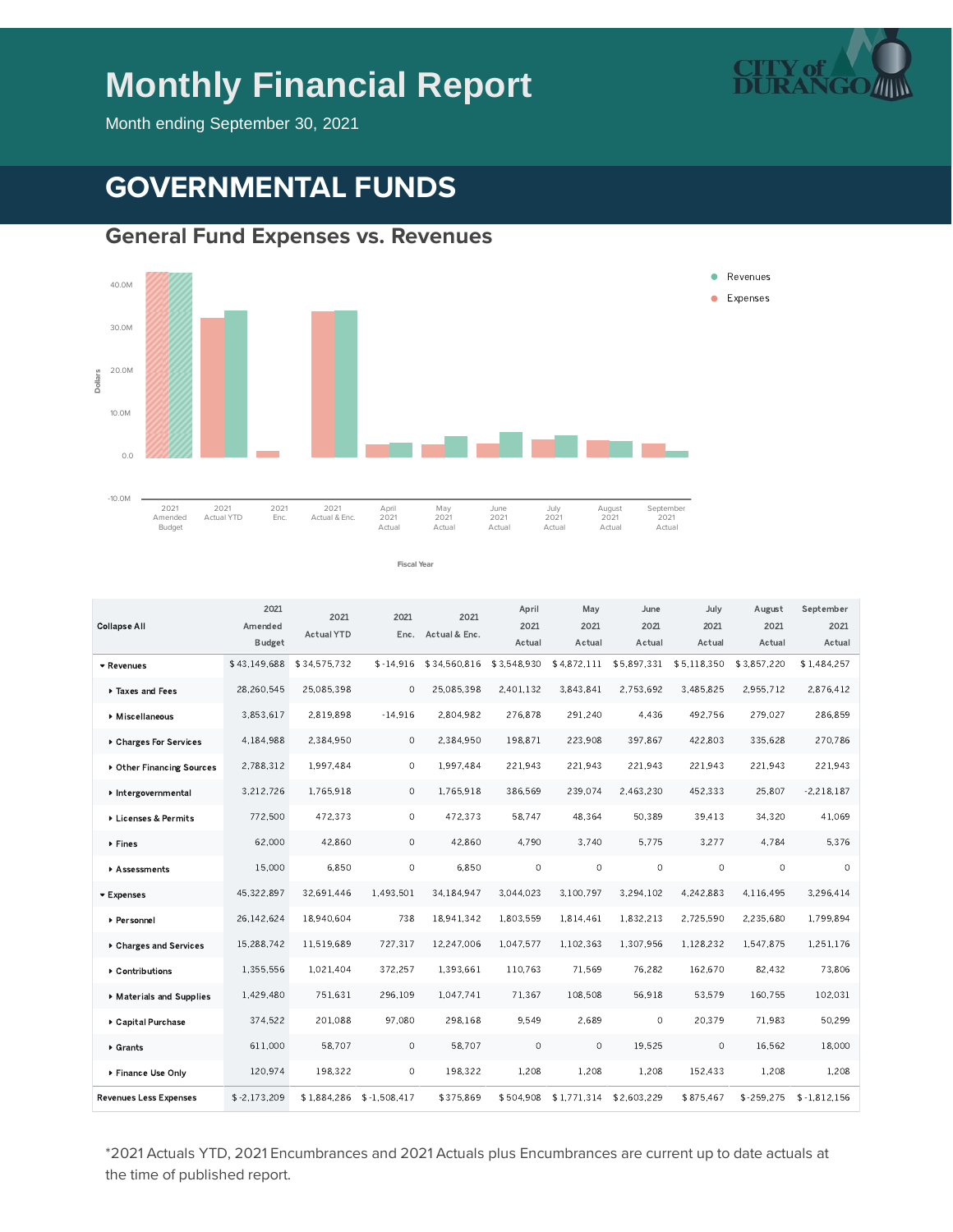# **Monthly Financial Report**



Month ending September 30, 2021

# **GOVERNMENTAL FUNDS**

#### **General Fund Expenses vs. Revenues**



**Fiscal Year**

\$43.149.688 \$34.575.732 \$-14.916 \$34.560.816 \$3.548.930 \$4.872.111 \$5.897.331 \$5.118.350 \$3.857.220 \$1.484.257 28,260,545 25,085,398 0 25,085,398 2,401,132 3,843,841 2,753,692 3,485,825 2,955,712 2,876,412 3.853.617 2.819.898 -14.916 2.804.982 276.878 291.240 4.436 492.756 279.027 286.859 4.184.988 2.384.950 0 2.384.950 198.871 223.908 397.867 422.803 335.628 270.786 2.788.312 1.997.484 0 1.997.484 221.943 221.943 221.943 221.943 221.943 221.943 3.212.726 1.765.918 0 1.765.918 386.569 239.074 2.463.230 452.333 25.807 -2.218.187 772.500 472.373 0 472.373 58.747 48.364 50.389 39.413 34.320 41.069 62,000 42,860 0 42,860 4,790 3,740 5,775 3,277 4,784 5,376 15.000 6.850 0 6.850 0 0 0 0 0 0 0 0 45.322.897 32.691.446 1.493.501 34.184.947 3.044.023 3.100.797 3.294.102 4.242.883 4.116.495 3.296.414 26,142,624 18,940,604 738 18,941,342 1,803,559 1,814,461 1,832,213 2,725,590 2,235,680 1,799,894 15,288,742 11,519,689 727,317 12,247,006 1,047,577 1,102,363 1,307,956 1,128,232 1,547,875 1,251,176 1,355,556 1,021,404 372,257 1,393,661 110,763 71,569 76,282 162,670 82,432 73,806 1.429.480 751.631 296.109 1.047.741 71.367 108.508 56.918 53.579 160.755 102.031 374.522 201.088 97.080 298.168 9.549 2.689 0 20.379 71.983 50.299 611.000 58.707 0 58.707 0 0 19.525 0 16.562 18.000 120.974 198.322 0 198.322 1.208 1.208 1.208 1.203 1.208 1.208 \$-2.173.209 \$1.884.286 \$-1.508.417 \$375.869 \$504.908 \$1.771.314 \$2.603.229 \$875.467 \$-259.275 \$-1.812.156 Revenues Taxes and Fees Miscellaneous Charges For Services Other Financing Sources Intergovernmental Licenses & Permits ▶ Fines Assessments Expenses Personnel Charges and Services Contributions Materials and Supplies Capital Purchase Grants ▶ Finance Use Only Revenues Less Expenses 2021 Amended Budget 2021 Actual YTD 2021 Enc. Actual & Enc. 2021 April 2021 Actual May 2021 Actual June 2021 Actual July 2021 Actual August 2021 Actual September 2021 Actual Collapse All

\*2021 Actuals YTD, 2021 Encumbrances and 2021 Actuals plus Encumbrances are current up to date actuals at the time of published report.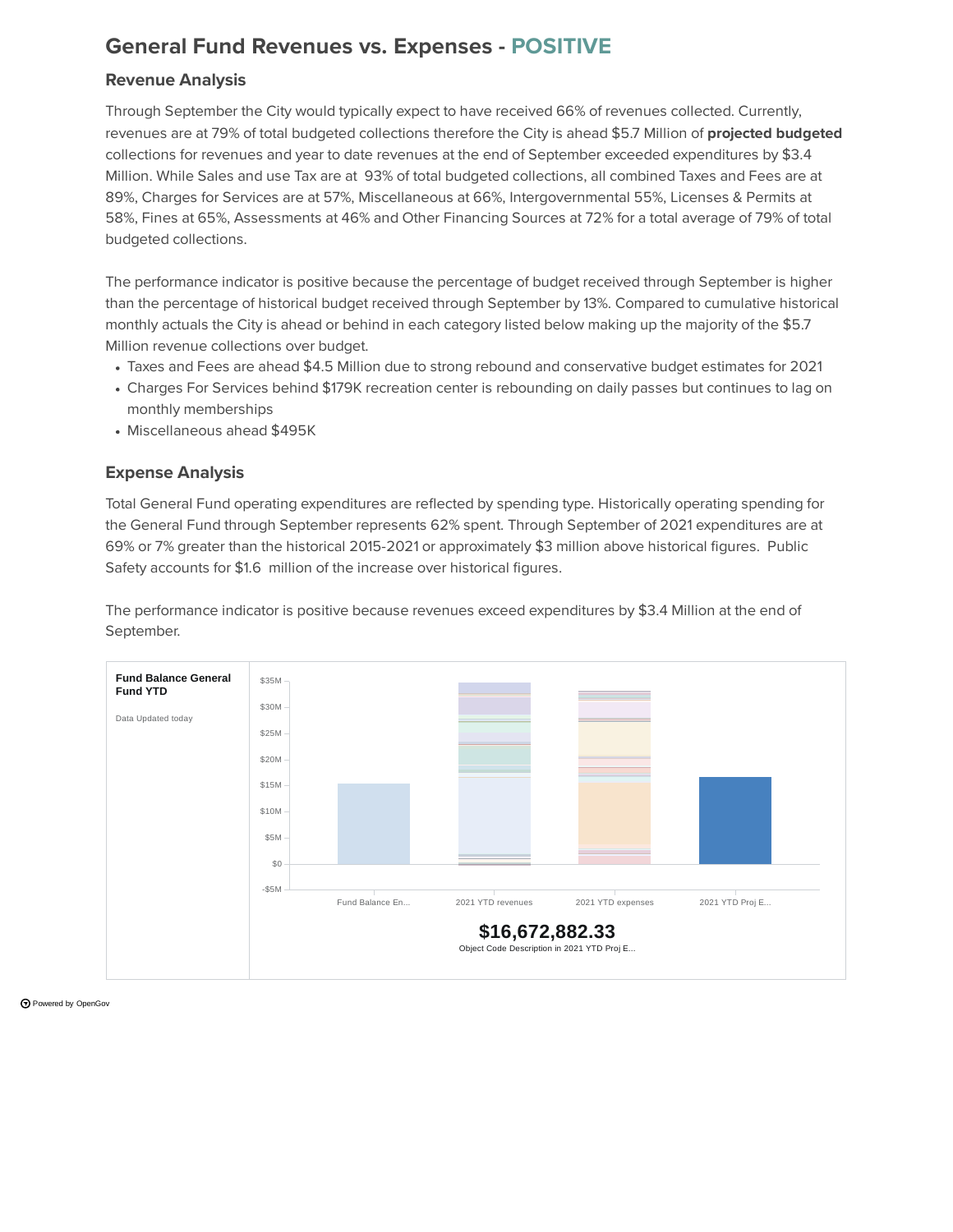### **General Fund Revenues vs. Expenses - POSITIVE**

#### **Revenue Analysis**

Through September the City would typically expect to have received 66% of revenues collected. Currently, revenues are at 79% of total budgeted collections therefore the City is ahead \$5.7 Million of **projected budgeted** collections for revenues and year to date revenues at the end of September exceeded expenditures by \$3.4 Million. While Sales and use Tax are at 93% of total budgeted collections, all combined Taxes and Fees are at 89%, Charges for Services are at 57%, Miscellaneous at 66%, Intergovernmental 55%, Licenses & Permits at 58%, Fines at 65%, Assessments at 46% and Other Financing Sources at 72% for a total average of 79% of total budgeted collections.

The performance indicator is positive because the percentage of budget received through September is higher than the percentage of historical budget received through September by 13%. Compared to cumulative historical monthly actuals the City is ahead or behind in each category listed below making up the majority of the \$5.7 Million revenue collections over budget.

- Taxes and Fees are ahead \$4.5 Million due to strong rebound and conservative budget estimates for 2021
- Charges For Services behind \$179K recreation center is rebounding on daily passes but continues to lag on monthly memberships
- Miscellaneous ahead \$495K

#### **Expense Analysis**

Total General Fund operating expenditures are reflected by spending type. Historically operating spending for the General Fund through September represents 62% spent. Through September of 2021 expenditures are at 69% or 7% greater than the historical 2015-2021 or approximately \$3 million above historical figures. Public Safety accounts for \$1.6 million of the increase over historical figures.

The performance indicator is positive because revenues exceed expenditures by \$3.4 Million at the end of September.



Powered by [OpenGov](https://opengov.com/)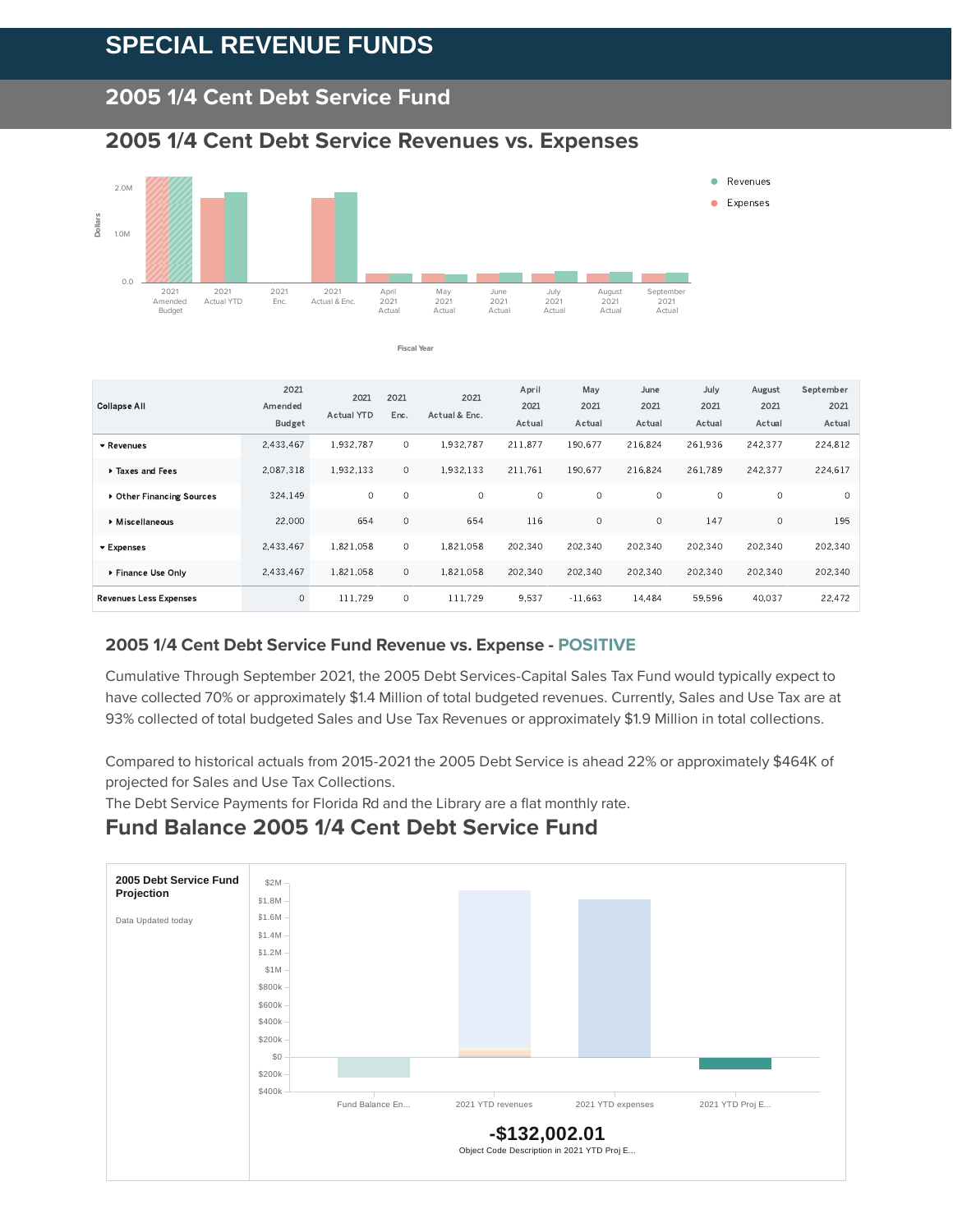## **SPECIAL REVENUE FUNDS**

#### **2005 1/4 Cent Debt Service Fund**

#### **2005 1/4 Cent Debt Service Revenues vs. Expenses**



**Fiscal Year**

| <b>Collapse All</b>           | 2021<br>Amended<br><b>Budget</b> | 2021<br><b>Actual YTD</b> | 2021<br>Enc. | 2021<br>Actual & Enc. | April<br>2021<br>Actual | May<br>2021<br>Actual | June<br>2021<br>Actual | July<br>2021<br>Actual | August<br>2021<br>Actual | September<br>2021<br>Actual |
|-------------------------------|----------------------------------|---------------------------|--------------|-----------------------|-------------------------|-----------------------|------------------------|------------------------|--------------------------|-----------------------------|
| * Revenues                    | 2.433.467                        | 1.932.787                 | $\circ$      | 1.932.787             | 211.877                 | 190.677               | 216.824                | 261.936                | 242.377                  | 224.812                     |
| Taxes and Fees                | 2.087.318                        | 1.932.133                 | $\circ$      | 1.932.133             | 211.761                 | 190.677               | 216,824                | 261.789                | 242,377                  | 224.617                     |
| ▶ Other Financing Sources     | 324.149                          | 0                         | 0            | $\circ$               | 0                       | $\circ$               | $\circ$                | $\circ$                | 0                        | $\circ$                     |
| Miscellaneous                 | 22,000                           | 654                       | $\circ$      | 654                   | 116                     | $\circ$               | $\circ$                | 147                    | $\Omega$                 | 195                         |
| ▼ Expenses                    | 2.433.467                        | 1.821.058                 | $\circ$      | 1.821.058             | 202.340                 | 202.340               | 202,340                | 202.340                | 202,340                  | 202.340                     |
| ▶ Finance Use Only            | 2,433,467                        | 1,821,058                 | $\circ$      | 1,821,058             | 202,340                 | 202,340               | 202,340                | 202,340                | 202,340                  | 202,340                     |
| <b>Revenues Less Expenses</b> | $\circ$                          | 111.729                   | $\circ$      | 111.729               | 9.537                   | $-11.663$             | 14.484                 | 59.596                 | 40.037                   | 22.472                      |

#### **2005 1/4 Cent Debt Service Fund Revenue vs. Expense - POSITIVE**

Cumulative Through September 2021, the 2005 Debt Services-Capital Sales Tax Fund would typically expect to have collected 70% or approximately \$1.4 Million of total budgeted revenues. Currently, Sales and Use Tax are at 93% collected of total budgeted Sales and Use Tax Revenues or approximately \$1.9 Million in total collections.

Compared to historical actuals from 2015-2021 the 2005 Debt Service is ahead 22% or approximately \$464K of projected for Sales and Use Tax Collections.

The Debt Service Payments for Florida Rd and the Library are a flat monthly rate.

#### **Fund Balance 2005 1/4 Cent Debt Service Fund**

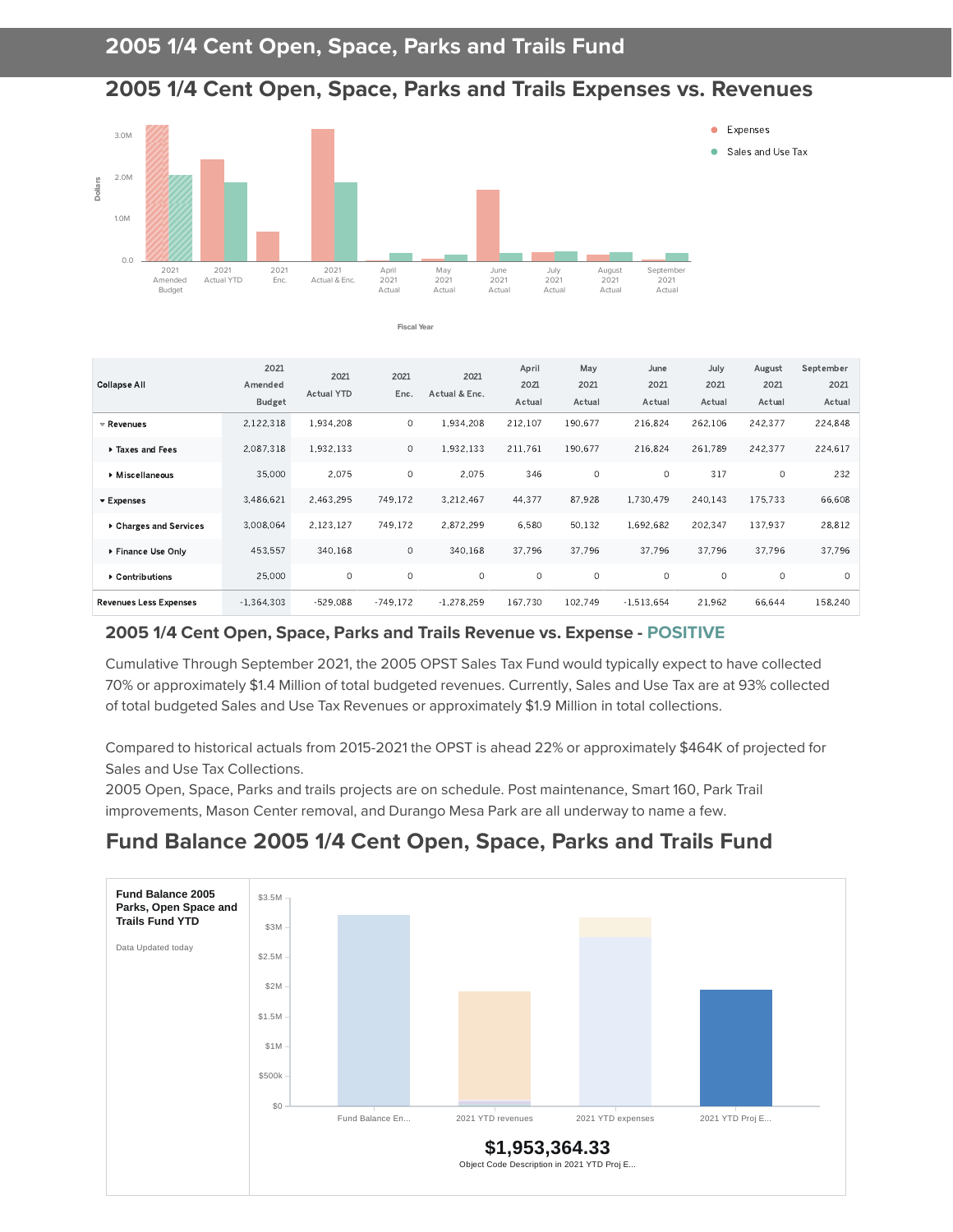#### **2005 1/4 Cent Open, Space, Parks and Trails Expenses vs. Revenues**



**Fiscal Year**

|                               | 2021          |                   |             |               |               |             | June         |              |                |                   |
|-------------------------------|---------------|-------------------|-------------|---------------|---------------|-------------|--------------|--------------|----------------|-------------------|
| <b>Collapse All</b>           | Amended       | 2021              | 2021        | 2021          | April<br>2021 | May<br>2021 | 2021         | July<br>2021 | August<br>2021 | September<br>2021 |
|                               |               | <b>Actual YTD</b> | Enc.        | Actual & Enc. |               |             |              |              |                |                   |
|                               | <b>Budget</b> |                   |             |               | Actual        | Actual      | Actual       | Actual       | Actual         | Actual            |
| $\triangledown$ Revenues      | 2,122,318     | 1.934.208         | 0           | 1.934.208     | 212.107       | 190,677     | 216.824      | 262,106      | 242,377        | 224,848           |
| Taxes and Fees                | 2.087.318     | 1.932.133         | $\circ$     | 1.932.133     | 211.761       | 190.677     | 216.824      | 261.789      | 242.377        | 224.617           |
| Miscellaneous                 | 35,000        | 2.075             | $\mathbf 0$ | 2.075         | 346           | $\circ$     | 0            | 317          | $\circ$        | 232               |
| ▼ Expenses                    | 3.486.621     | 2.463.295         | 749.172     | 3.212.467     | 44,377        | 87,928      | 1.730.479    | 240.143      | 175.733        | 66.608            |
| ▶ Charges and Services        | 3,008,064     | 2.123.127         | 749.172     | 2,872,299     | 6,580         | 50,132      | 1.692.682    | 202.347      | 137,937        | 28,812            |
| ▶ Finance Use Only            | 453.557       | 340.168           | $\circ$     | 340.168       | 37.796        | 37.796      | 37.796       | 37.796       | 37.796         | 37.796            |
| ▶ Contributions               | 25,000        | 0                 | $\circ$     | $\circ$       | $\circ$       | $\circ$     | 0            | 0            | $\circ$        | $\circ$           |
| <b>Revenues Less Expenses</b> | $-1.364.303$  | $-529.088$        | $-749.172$  | $-1.278.259$  | 167.730       | 102.749     | $-1.513.654$ | 21.962       | 66.644         | 158,240           |

#### **2005 1/4 Cent Open, Space, Parks and Trails Revenue vs. Expense - POSITIVE**

Cumulative Through September 2021, the 2005 OPST Sales Tax Fund would typically expect to have collected 70% or approximately \$1.4 Million of total budgeted revenues. Currently, Sales and Use Tax are at 93% collected of total budgeted Sales and Use Tax Revenues or approximately \$1.9 Million in total collections.

Compared to historical actuals from 2015-2021 the OPST is ahead 22% or approximately \$464K of projected for Sales and Use Tax Collections.

2005 Open, Space, Parks and trails projects are on schedule. Post maintenance, Smart 160, Park Trail improvements, Mason Center removal, and Durango Mesa Park are all underway to name a few.

### **Fund Balance 2005 1/4 Cent Open, Space, Parks and Trails Fund**

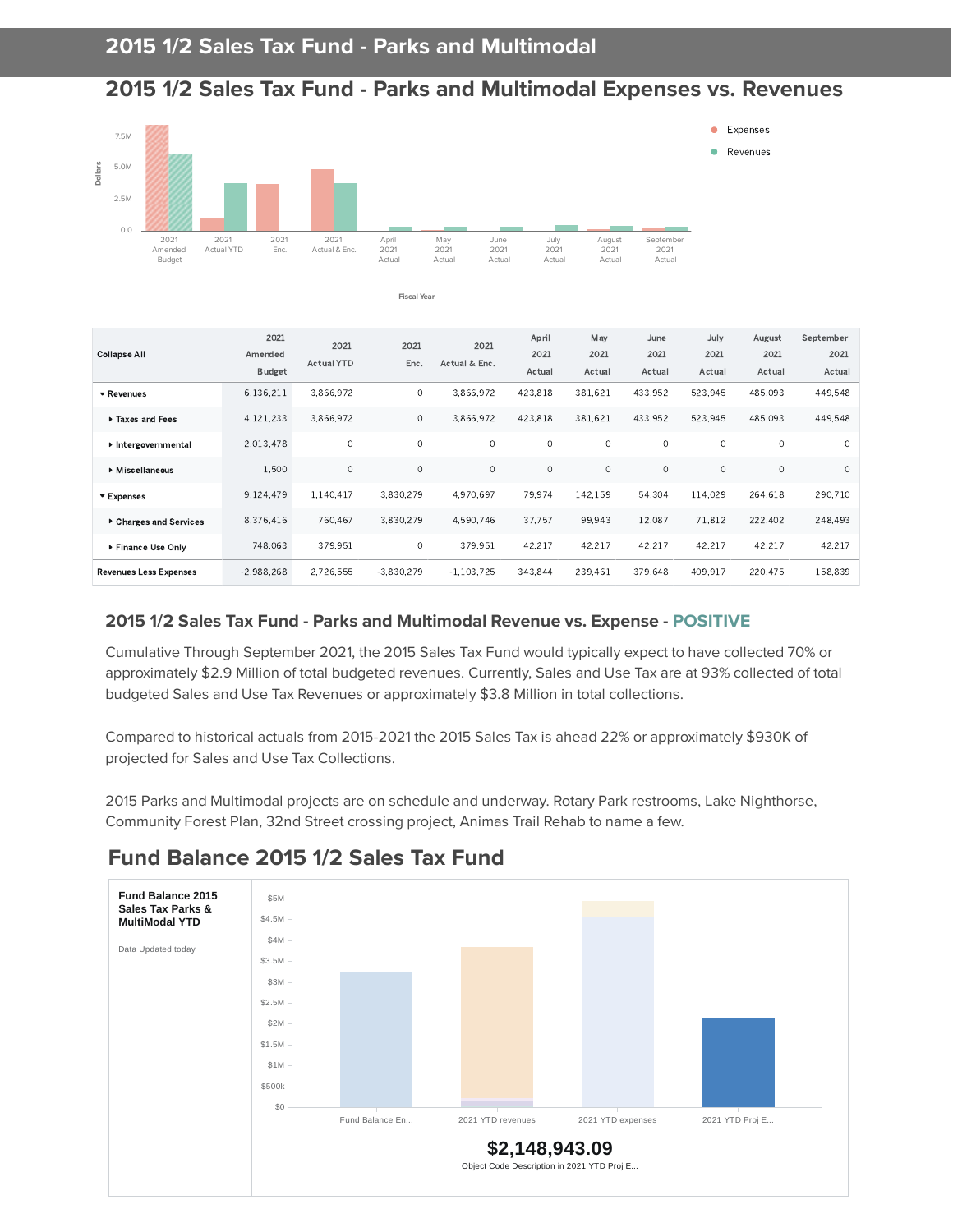#### **2015 1/2 Sales Tax Fund - Parks and Multimodal Expenses vs. Revenues**



**Fiscal Year**

| Collapse All                  | 2021<br>Amended<br><b>Budget</b> | 2021<br>Actual YTD | 2021<br>Enc. | 2021<br>Actual & Enc. | April<br>2021<br>Actual | May<br>2021<br>Actual | June<br>2021<br>Actual | July<br>2021<br>Actual | August<br>2021<br>Actual | September<br>2021<br>Actual |
|-------------------------------|----------------------------------|--------------------|--------------|-----------------------|-------------------------|-----------------------|------------------------|------------------------|--------------------------|-----------------------------|
| ▼ Revenues                    | 6.136.211                        | 3.866.972          | $\circ$      | 3,866,972             | 423,818                 | 381.621               | 433.952                | 523.945                | 485,093                  | 449.548                     |
| Taxes and Fees                | 4,121,233                        | 3.866.972          | $\circ$      | 3.866.972             | 423.818                 | 381.621               | 433.952                | 523.945                | 485.093                  | 449,548                     |
| Intergovernmental             | 2.013.478                        | $\mathbf 0$        | $\Omega$     | $\circ$               | $\circ$                 | $\circ$               | $\circ$                | $\circ$                | $\circ$                  | $\circ$                     |
| Miscellaneous                 | 1.500                            | $\circ$            | $\circ$      | $\circ$               | $\circ$                 | $\circ$               | $\circ$                | $\circ$                | $\circ$                  | $\circ$                     |
| ▼ Expenses                    | 9,124,479                        | 1,140,417          | 3,830,279    | 4.970.697             | 79.974                  | 142,159               | 54.304                 | 114.029                | 264.618                  | 290,710                     |
| ▶ Charges and Services        | 8.376.416                        | 760,467            | 3,830,279    | 4,590,746             | 37.757                  | 99,943                | 12.087                 | 71.812                 | 222.402                  | 248.493                     |
| ▶ Finance Use Only            | 748.063                          | 379.951            | $\circ$      | 379.951               | 42,217                  | 42.217                | 42.217                 | 42.217                 | 42.217                   | 42,217                      |
| <b>Revenues Less Expenses</b> | $-2,988,268$                     | 2.726.555          | $-3,830,279$ | $-1.103.725$          | 343,844                 | 239.461               | 379.648                | 409,917                | 220,475                  | 158,839                     |

#### **2015 1/2 Sales Tax Fund - Parks and Multimodal Revenue vs. Expense - POSITIVE**

Cumulative Through September 2021, the 2015 Sales Tax Fund would typically expect to have collected 70% or approximately \$2.9 Million of total budgeted revenues. Currently, Sales and Use Tax are at 93% collected of total budgeted Sales and Use Tax Revenues or approximately \$3.8 Million in total collections.

Compared to historical actuals from 2015-2021 the 2015 Sales Tax is ahead 22% or approximately \$930K of projected for Sales and Use Tax Collections.

2015 Parks and Multimodal projects are on schedule and underway. Rotary Park restrooms, Lake Nighthorse, Community Forest Plan, 32nd Street crossing project, Animas Trail Rehab to name a few.



### **Fund Balance 2015 1/2 Sales Tax Fund**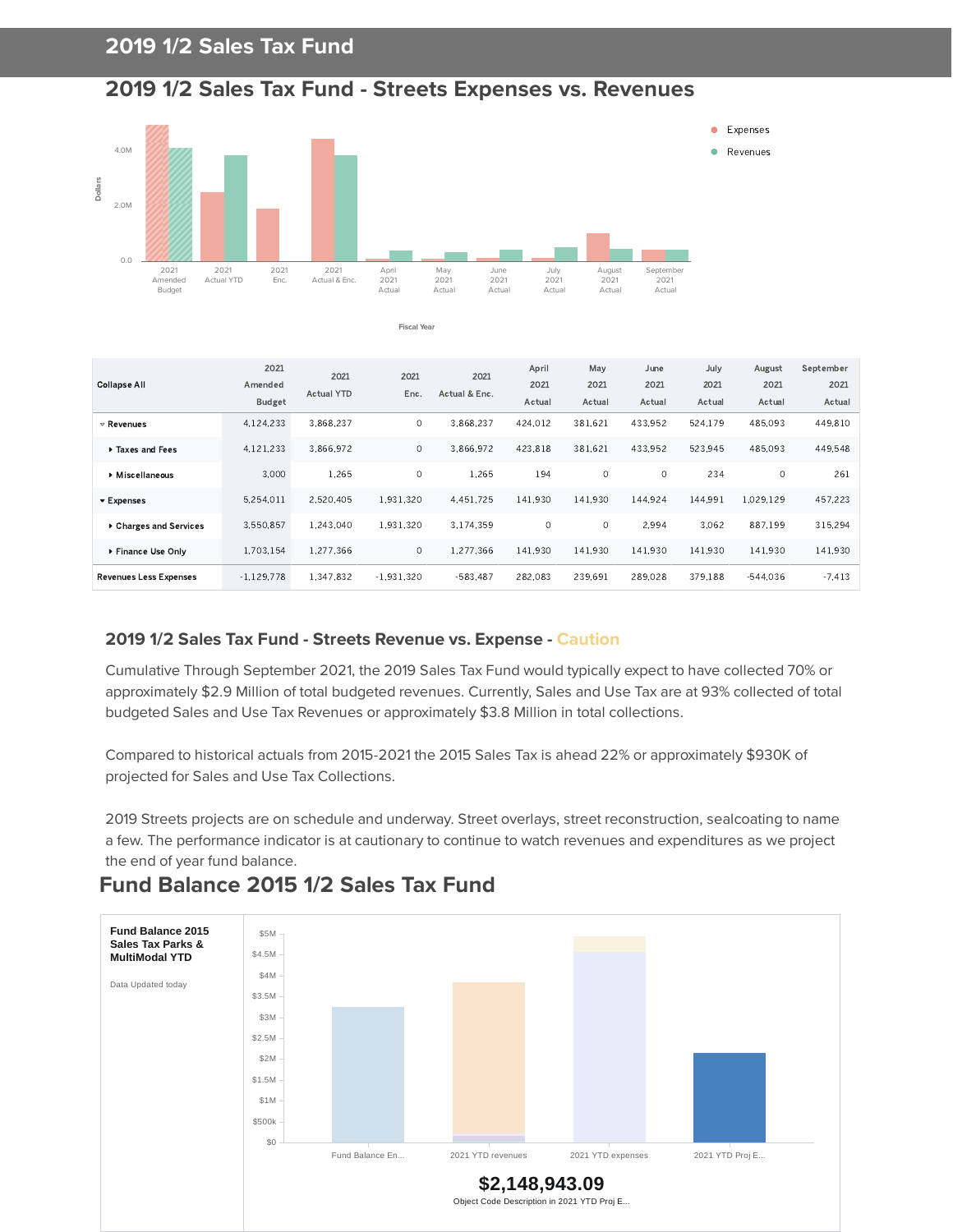### **2019 1/2 Sales Tax Fund**

#### **2019 1/2 Sales Tax Fund - Streets Expenses vs. Revenues**



**Fiscal Year**

| <b>Collapse All</b>           | 2021<br>Amended<br><b>Budget</b> | 2021<br>Actual YTD | 2021<br>Enc. | 2021<br>Actual & Enc. | April<br>2021<br>Actual | May<br>2021<br>Actual | June<br>2021<br>Actual | July<br>2021<br>Actual | August<br>2021<br>Actual | September<br>2021<br>Actual |
|-------------------------------|----------------------------------|--------------------|--------------|-----------------------|-------------------------|-----------------------|------------------------|------------------------|--------------------------|-----------------------------|
| $\triangledown$ Revenues      | 4,124,233                        | 3.868.237          | $\circ$      | 3.868,237             | 424,012                 | 381.621               | 433.952                | 524,179                | 485,093                  | 449.810                     |
| Taxes and Fees                | 4,121,233                        | 3.866.972          | $\circ$      | 3.866.972             | 423.818                 | 381.621               | 433.952                | 523.945                | 485.093                  | 449.548                     |
| Miscellaneous                 | 3.000                            | 1.265              | $\Omega$     | 1.265                 | 194                     | $\circ$               | $\Omega$               | 234                    | $\circ$                  | 261                         |
| ▼ Expenses                    | 5,254.011                        | 2.520.405          | 1.931.320    | 4.451.725             | 141.930                 | 141.930               | 144.924                | 144.991                | 1.029.129                | 457.223                     |
| ▶ Charges and Services        | 3.550.857                        | 1.243.040          | 1,931,320    | 3.174.359             | $\circ$                 | $\circ$               | 2.994                  | 3.062                  | 887.199                  | 315.294                     |
| ▶ Finance Use Only            | 1.703.154                        | 1.277.366          | $\circ$      | 1.277.366             | 141.930                 | 141.930               | 141.930                | 141.930                | 141.930                  | 141.930                     |
| <b>Revenues Less Expenses</b> | $-1.129.778$                     | 1.347.832          | $-1.931.320$ | $-583.487$            | 282.083                 | 239.691               | 289.028                | 379.188                | $-544.036$               | $-7.413$                    |

#### **2019 1/2 Sales Tax Fund - Streets Revenue vs. Expense - Caution**

Cumulative Through September 2021, the 2019 Sales Tax Fund would typically expect to have collected 70% or approximately \$2.9 Million of total budgeted revenues. Currently, Sales and Use Tax are at 93% collected of total budgeted Sales and Use Tax Revenues or approximately \$3.8 Million in total collections.

Compared to historical actuals from 2015-2021 the 2015 Sales Tax is ahead 22% or approximately \$930K of projected for Sales and Use Tax Collections.

2019 Streets projects are on schedule and underway. Street overlays, street reconstruction, sealcoating to name a few. The performance indicator is at cautionary to continue to watch revenues and expenditures as we project the end of year fund balance.



#### **Fund Balance 2015 1/2 Sales Tax Fund**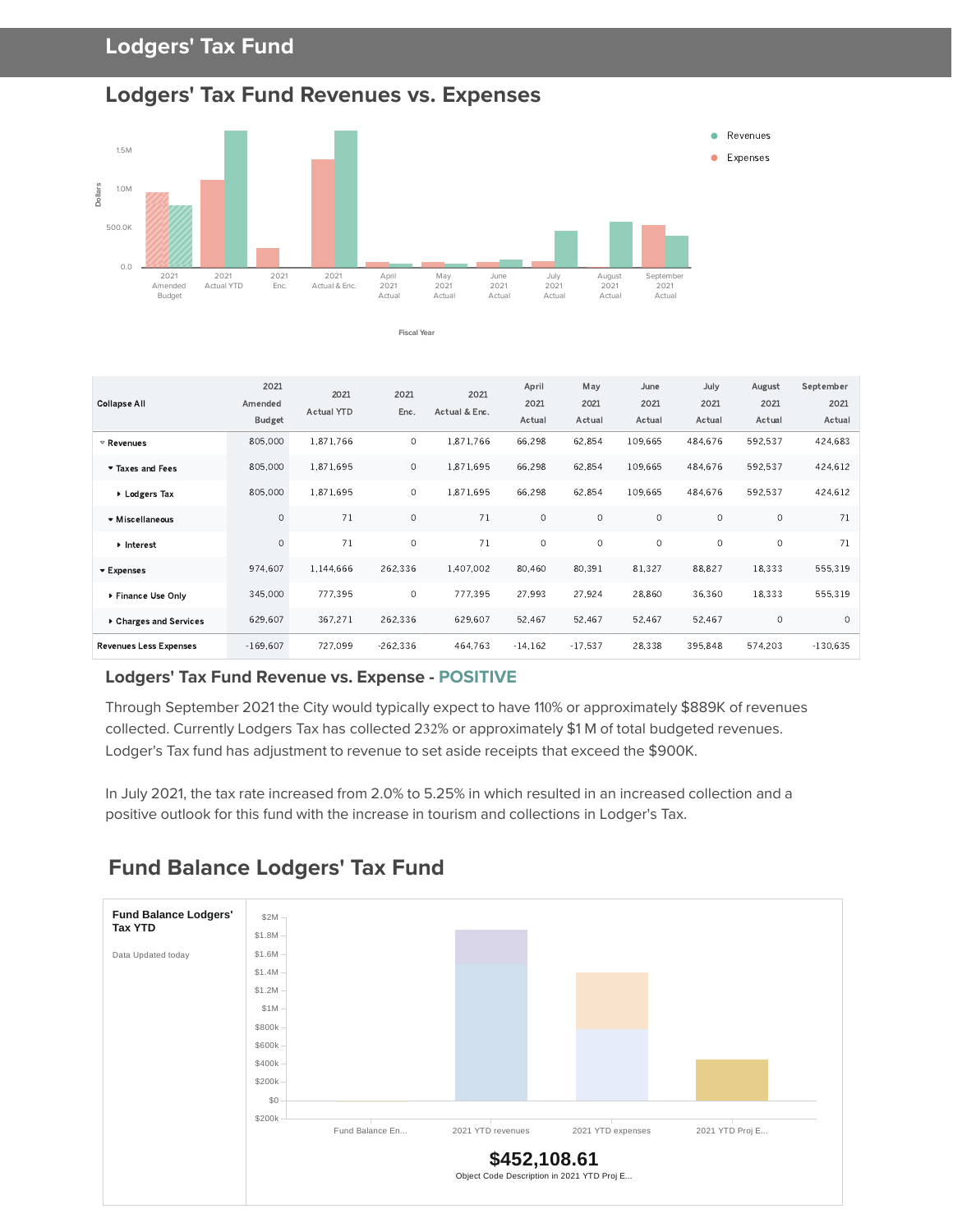

**Fiscal Year**



| <b>Collapse All</b>           | 2021<br>Amended<br><b>Budget</b> | 2021<br><b>Actual YTD</b> | 2021<br>Enc. | 2021<br>Actual & Enc. | April<br>2021<br>Actual | May<br>2021<br>Actual | June<br>2021<br>Actual | July<br>2021<br>Actual | August<br>2021<br>Actual | September<br>2021<br>Actual |
|-------------------------------|----------------------------------|---------------------------|--------------|-----------------------|-------------------------|-----------------------|------------------------|------------------------|--------------------------|-----------------------------|
| $\triangledown$ Revenues      | 805,000                          | 1.871.766                 | $\circ$      | 1,871,766             | 66,298                  | 62,854                | 109.665                | 484.676                | 592.537                  | 424.683                     |
| Taxes and Fees                | 805,000                          | 1.871.695                 | $\circ$      | 1,871,695             | 66,298                  | 62,854                | 109,665                | 484,676                | 592,537                  | 424,612                     |
| ▶ Lodgers Tax                 | 805,000                          | 1,871,695                 | $\circ$      | 1,871,695             | 66,298                  | 62.854                | 109.665                | 484.676                | 592,537                  | 424,612                     |
| ▼ Miscellaneous               | $\circ$                          | 71                        | $\circ$      | 71                    | $\circ$                 | $\circ$               | $\circ$                | $\circ$                | $\circ$                  | 71                          |
| Interest                      | $\circ$                          | 71                        | $\circ$      | 71                    | $\circ$                 | $\circ$               | $\circ$                | $\circ$                | $\circ$                  | 71                          |
| ▼ Expenses                    | 974.607                          | 1.144.666                 | 262.336      | 1,407,002             | 80.460                  | 80,391                | 81,327                 | 88,827                 | 18,333                   | 555,319                     |
| ▶ Finance Use Only            | 345,000                          | 777,395                   | $\circ$      | 777.395               | 27,993                  | 27,924                | 28,860                 | 36,360                 | 18,333                   | 555,319                     |
| ▶ Charges and Services        | 629,607                          | 367.271                   | 262,336      | 629.607               | 52.467                  | 52,467                | 52,467                 | 52,467                 | 0                        | $\circ$                     |
| <b>Revenues Less Expenses</b> | $-169.607$                       | 727.099                   | $-262,336$   | 464.763               | $-14.162$               | $-17.537$             | 28,338                 | 395.848                | 574,203                  | $-130,635$                  |

#### **Lodgers' Tax Fund Revenue vs. Expense - POSITIVE**

Through September 2021 the City would typically expect to have 110% or approximately \$889K of revenues collected. Currently Lodgers Tax has collected 232% or approximately \$1 M of total budgeted revenues. Lodger's Tax fund has adjustment to revenue to set aside receipts that exceed the \$900K.

In July 2021, the tax rate increased from 2.0% to 5.25% in which resulted in an increased collection and a positive outlook for this fund with the increase in tourism and collections in Lodger's Tax.



### **Fund Balance Lodgers' Tax Fund**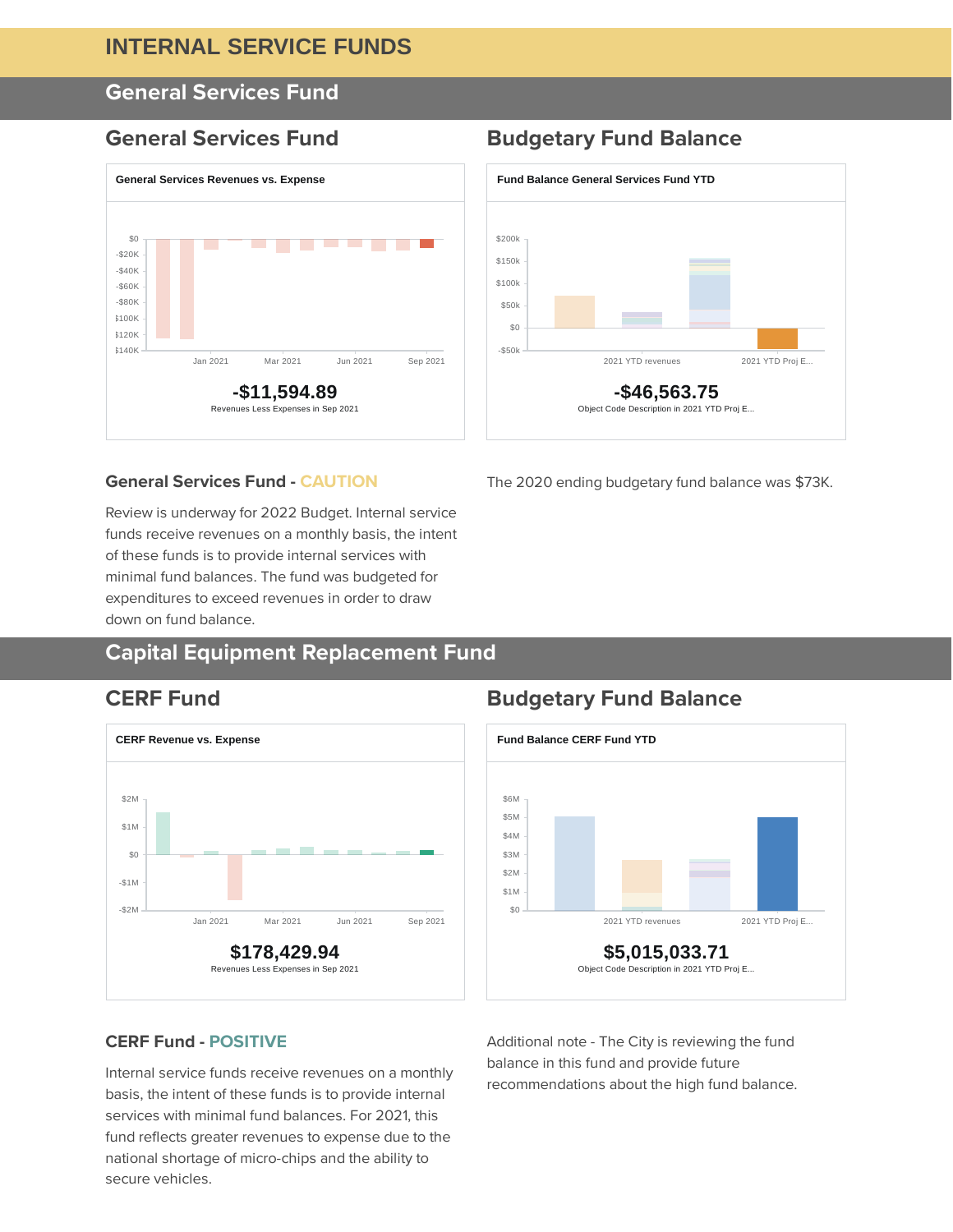#### **INTERNAL SERVICE FUNDS**

### **General Services Fund**



#### **General Services Fund Budgetary Fund Balance**



The 2020 ending budgetary fund balance was \$73K.

#### **General Services Fund - CAUTION**

Review is underway for 2022 Budget. Internal service funds receive revenues on a monthly basis, the intent of these funds is to provide internal services with minimal fund balances. The fund was budgeted for expenditures to exceed revenues in order to draw down on fund balance.

### **Capital Equipment Replacement Fund**



#### **CERF Fund Budgetary Fund Balance**



#### **CERF Fund - POSITIVE**

Internal service funds receive revenues on a monthly basis, the intent of these funds is to provide internal services with minimal fund balances. For 2021, this fund reflects greater revenues to expense due to the national shortage of micro-chips and the ability to secure vehicles.

Additional note - The City is reviewing the fund balance in this fund and provide future recommendations about the high fund balance.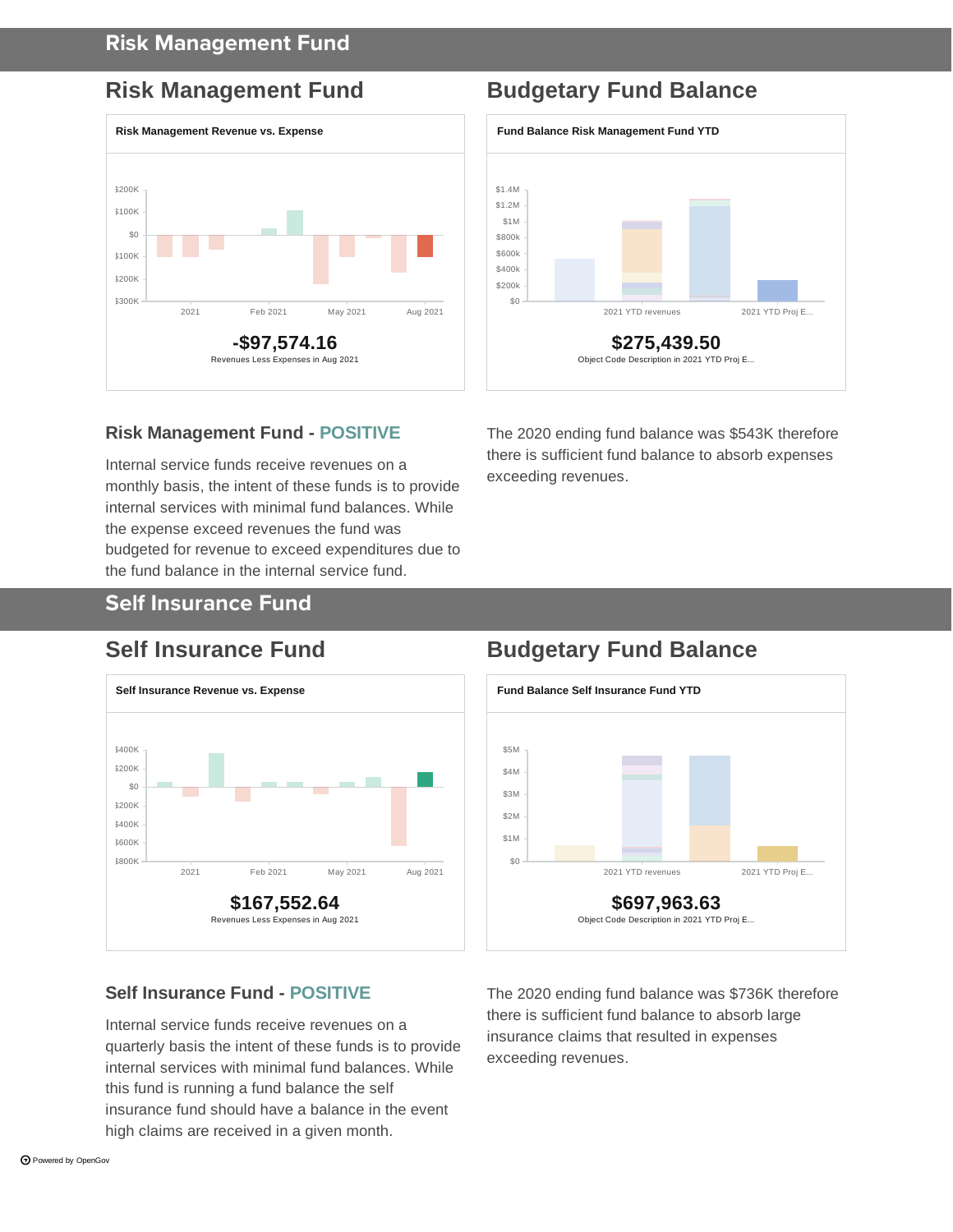#### **Risk Management Fund**



## **Risk Management Fund Budgetary Fund Balance**



#### **Risk Management Fund - POSITIVE**

Internal service funds receive revenues on a monthly basis, the intent of these funds is to provide internal services with minimal fund balances. While the expense exceed revenues the fund was budgeted for revenue to exceed expenditures due to the fund balance in the internal service fund.

The 2020 ending fund balance was \$543K therefore there is sufficient fund balance to absorb expenses exceeding revenues.

#### **Self Insurance Fund**



### **Self Insurance Fund Budgetary Fund Balance**



#### **Self Insurance Fund - POSITIVE**

Internal service funds receive revenues on a quarterly basis the intent of these funds is to provide internal services with minimal fund balances. While this fund is running a fund balance the self insurance fund should have a balance in the event high claims are received in a given month.

The 2020 ending fund balance was \$736K therefore there is sufficient fund balance to absorb large insurance claims that resulted in expenses exceeding revenues.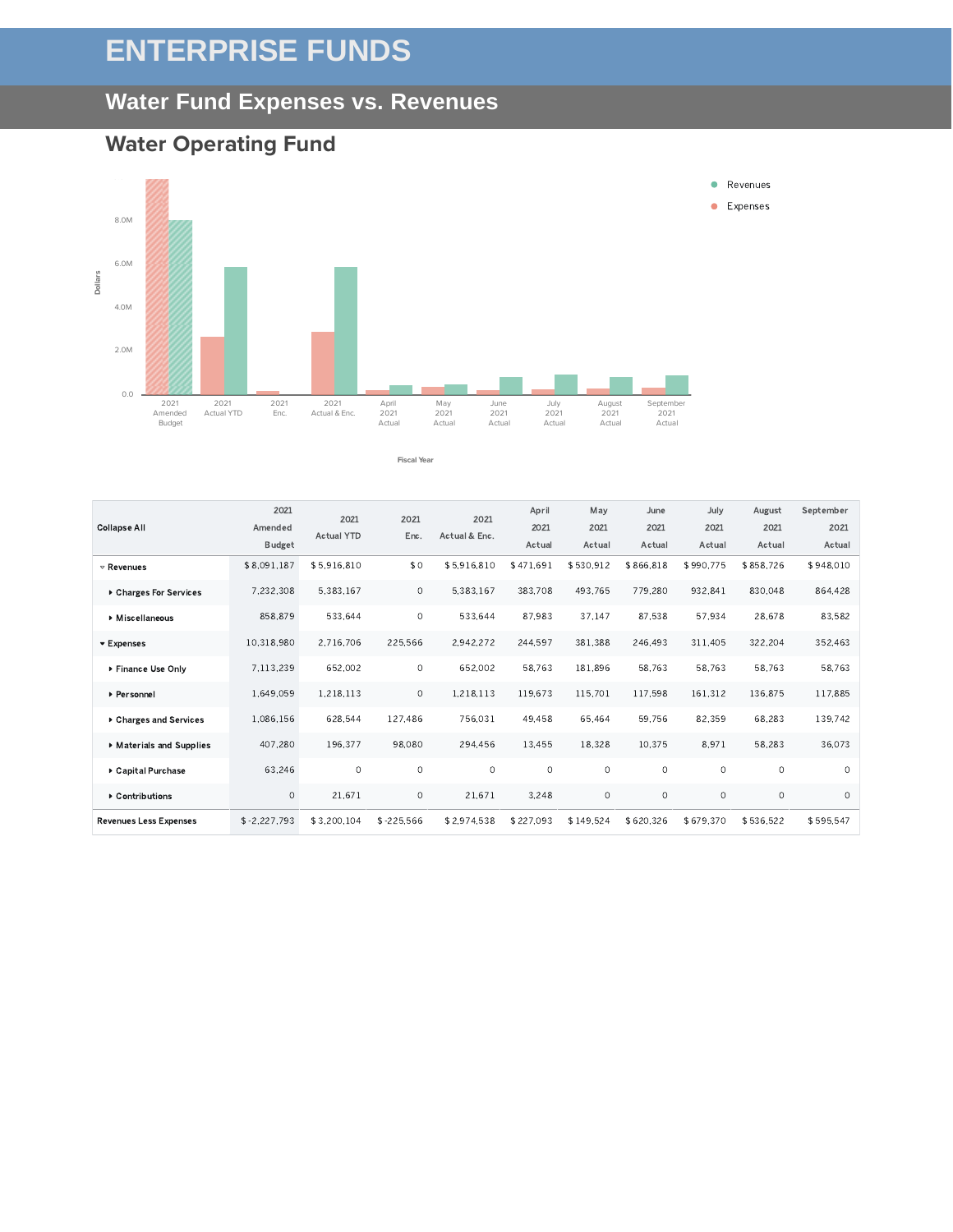# **ENTERPRISE FUNDS**

#### **Water Fund Expenses vs. Revenues**



#### **Water Operating Fund**

Revenues

Collapse All

Expenses

Personnel

Charges and Services Materials and Supplies Capital Purchase  $\blacktriangleright$  Contributions Revenues Less Expenses



**Fiscal Year**

| Accas     | rictual   | ruuu      | Accado    | nutual    | <b>Rocaal</b> |             |          |             | Duugut      |
|-----------|-----------|-----------|-----------|-----------|---------------|-------------|----------|-------------|-------------|
| \$948.010 | \$858.726 | \$990.775 | \$866.818 | \$530.912 | \$471.691     | \$5.916.810 | \$0      | \$5,916,810 | \$8,091,187 |
| 864.428   | 830.048   | 932.841   | 779.280   | 493.765   | 383,708       | 5.383.167   | $\circ$  | 5.383.167   | 7.232.308   |
| 83,582    | 28,678    | 57,934    | 87,538    | 37,147    | 87,983        | 533,644     | 0        | 533,644     | 858,879     |
| 352,463   | 322.204   | 311.405   | 246.493   | 381.388   | 244.597       | 2.942.272   | 225,566  | 2.716.706   | 10.318.980  |
| 58.763    | 58.763    | 58.763    | 58.763    | 181.896   | 58.763        | 652,002     | $\circ$  | 652.002     | 7.113.239   |
| 117,885   | 136,875   | 161,312   | 117,598   | 115.701   | 119,673       | 1,218,113   | 0        | 1,218,113   | 1.649.059   |
| 139,742   | 68.283    | 82.359    | 59.756    | 65.464    | 49.458        | 756.031     | 127.486  | 628.544     | 1,086,156   |
| 36,073    | 58,283    | 8,971     | 10.375    | 18.328    | 13,455        | 294,456     | 98.080   | 196.377     | 407.280     |
| $\Omega$  | $\Omega$  | $\Omega$  | $\Omega$  | $\Omega$  | $\Omega$      | $\Omega$    | $\Omega$ | $\Omega$    | 63.246      |

 $0$  21.671 0 21.671 3.248 0 0 0 0 0 0

\$-2.227.793 \$3.200.104 \$-225.566 \$2.974.538 \$227.093 \$149.524 \$620.326 \$679.370 \$536.522 \$595.547

Revenues **C** Expenses

 $\bullet$ 

August 2021 Actual September 2021 Actual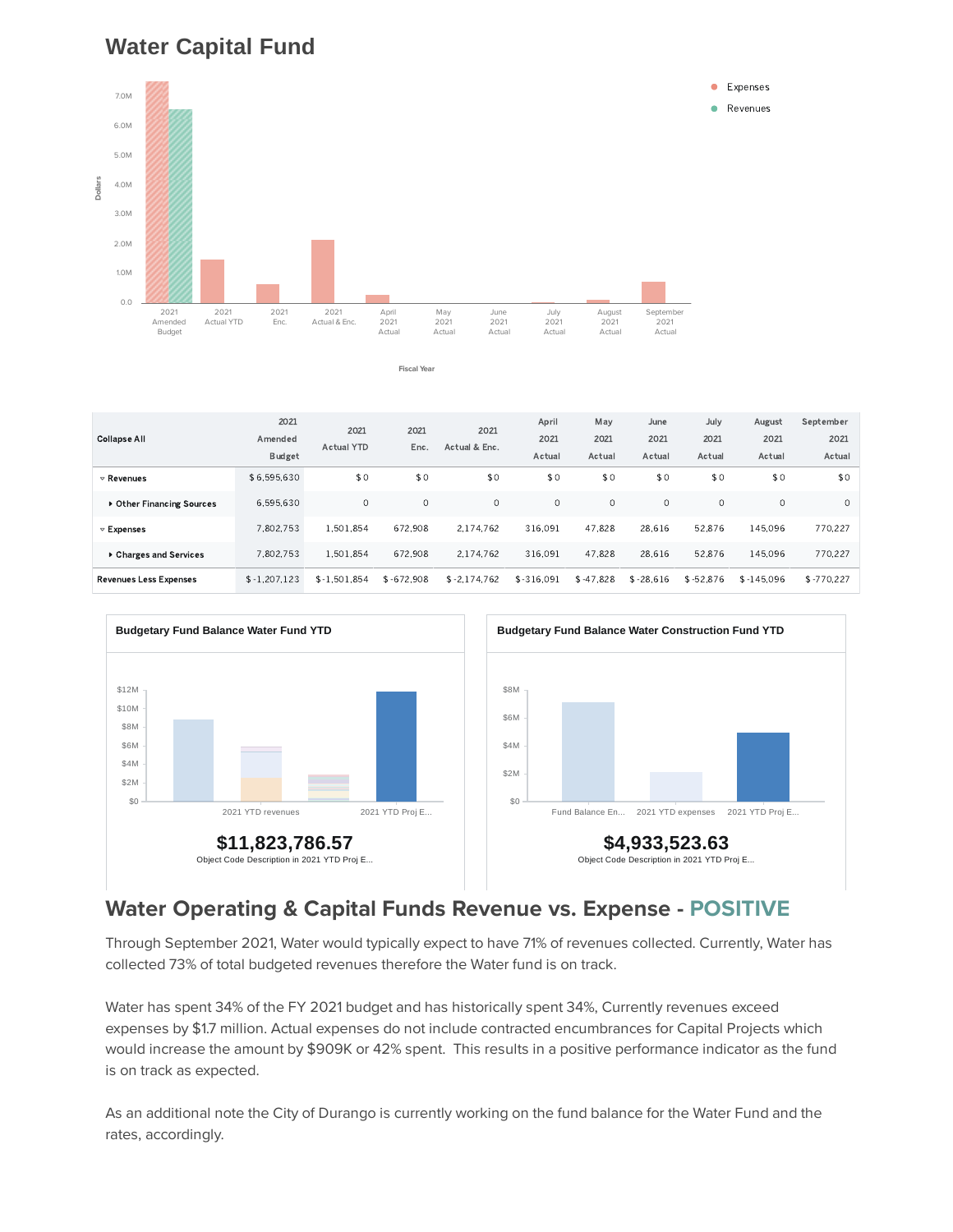## **Water Capital Fund**



**Fiscal Year**

\$6.595.630 \$0 \$0 \$0 \$0 \$0 \$0 \$0 \$0 \$0 \$0 ,, 7,802.753 1.501.854 672.908 2.174.762 316.091 47.828 28.616 52.876 145.096 770.227 7,802.753 1.501.854 672.908 2.174.762 316.091 47.828 28.616 52.876 145.096 770.227 \$-1.207.123 \$-1.501.854 \$-672.908 \$-2.174.762 \$-316.091 \$-47.828 \$-28.616 \$-52.876 \$-145.096 \$-770.227 Revenues ▶ Other Financing Sources Expenses Charges and Services Revenues Less Expenses 2021 Amended Budget 2021 Actual YTD 2021 Enc. 2021 Actual & Enc. April 2021 Actual May 2021 Actual June 2021 Actual July 2021 Actual August 2021 Actual September 2021 Actual Collapse All



#### **Water Operating & Capital Funds Revenue vs. Expense - POSITIVE**

Through September 2021, Water would typically expect to have 71% of revenues collected. Currently, Water has collected 73% of total budgeted revenues therefore the Water fund is on track.

Water has spent 34% of the FY 2021 budget and has historically spent 34%, Currently revenues exceed expenses by \$1.7 million. Actual expenses do not include contracted encumbrances for Capital Projects which would increase the amount by \$909K or 42% spent. This results in a positive performance indicator as the fund is on track as expected.

As an additional note the City of Durango is currently working on the fund balance for the Water Fund and the rates, accordingly.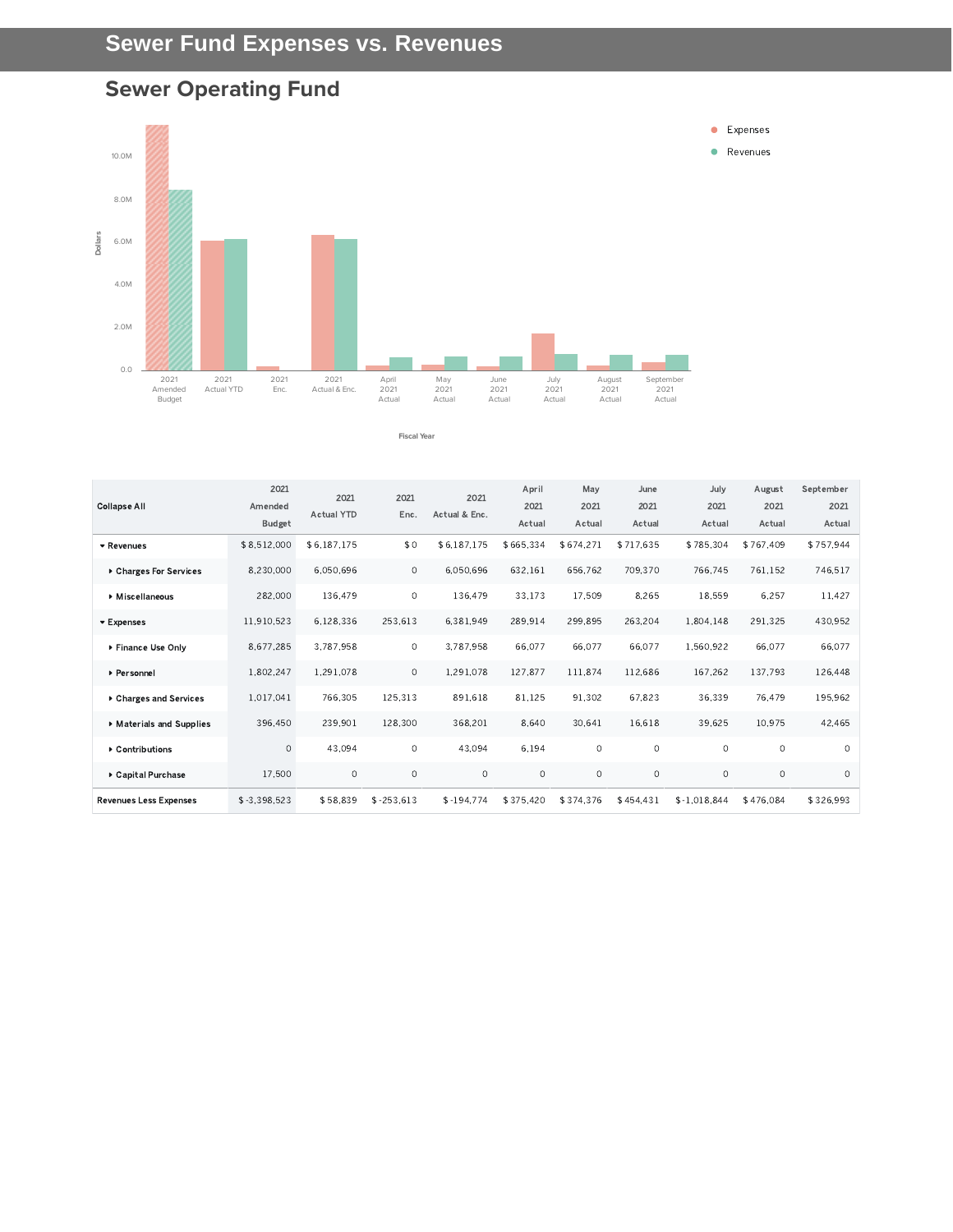# **Sewer Operating Fund**



#### **Fiscal Year**

|                               | 2021           | 2021              | 2021        | 2021          | April     | May       | June      | July          | August    | September |
|-------------------------------|----------------|-------------------|-------------|---------------|-----------|-----------|-----------|---------------|-----------|-----------|
| <b>Collapse All</b>           | Amended        | <b>Actual YTD</b> | Enc.        | Actual & Enc. | 2021      | 2021      | 2021      | 2021          | 2021      | 2021      |
|                               | <b>Budget</b>  |                   |             |               | Actual    | Actual    | Actual    | Actual        | Actual    | Actual    |
| ▼ Revenues                    | \$8,512,000    | \$6,187,175       | \$0         | \$6,187,175   | \$665,334 | \$674,271 | \$717.635 | \$785,304     | \$767.409 | \$757,944 |
| ▶ Charges For Services        | 8,230,000      | 6,050,696         | $\circ$     | 6,050,696     | 632,161   | 656,762   | 709.370   | 766,745       | 761,152   | 746,517   |
| Miscellaneous                 | 282,000        | 136,479           | $\circ$     | 136,479       | 33,173    | 17,509    | 8,265     | 18,559        | 6,257     | 11,427    |
| ▼ Expenses                    | 11.910.523     | 6.128.336         | 253,613     | 6.381.949     | 289.914   | 299.895   | 263,204   | 1,804.148     | 291.325   | 430,952   |
| ▶ Finance Use Only            | 8,677,285      | 3,787,958         | $\circ$     | 3,787,958     | 66,077    | 66,077    | 66,077    | 1,560,922     | 66,077    | 66,077    |
| ▶ Personnel                   | 1,802,247      | 1,291,078         | $\circ$     | 1,291,078     | 127,877   | 111,874   | 112,686   | 167,262       | 137,793   | 126,448   |
| ▶ Charges and Services        | 1,017,041      | 766,305           | 125,313     | 891,618       | 81,125    | 91.302    | 67,823    | 36.339        | 76.479    | 195,962   |
| Materials and Supplies        | 396,450        | 239,901           | 128,300     | 368,201       | 8,640     | 30,641    | 16,618    | 39,625        | 10,975    | 42,465    |
| ▶ Contributions               | $\circ$        | 43.094            | $\circ$     | 43,094        | 6,194     | $\circ$   | $\circ$   | $\circ$       | $\circ$   | $\Omega$  |
| ▶ Capital Purchase            | 17,500         | $\circ$           | $\circ$     | $\circ$       | $\circ$   | $\circ$   | $\circ$   | $\circ$       | $\circ$   | $\circ$   |
| <b>Revenues Less Expenses</b> | $$ -3.398.523$ | \$58,839          | $$-253,613$ | $$-194,774$   | \$375,420 | \$374,376 | \$454,431 | $$-1.018.844$ | \$476,084 | \$326,993 |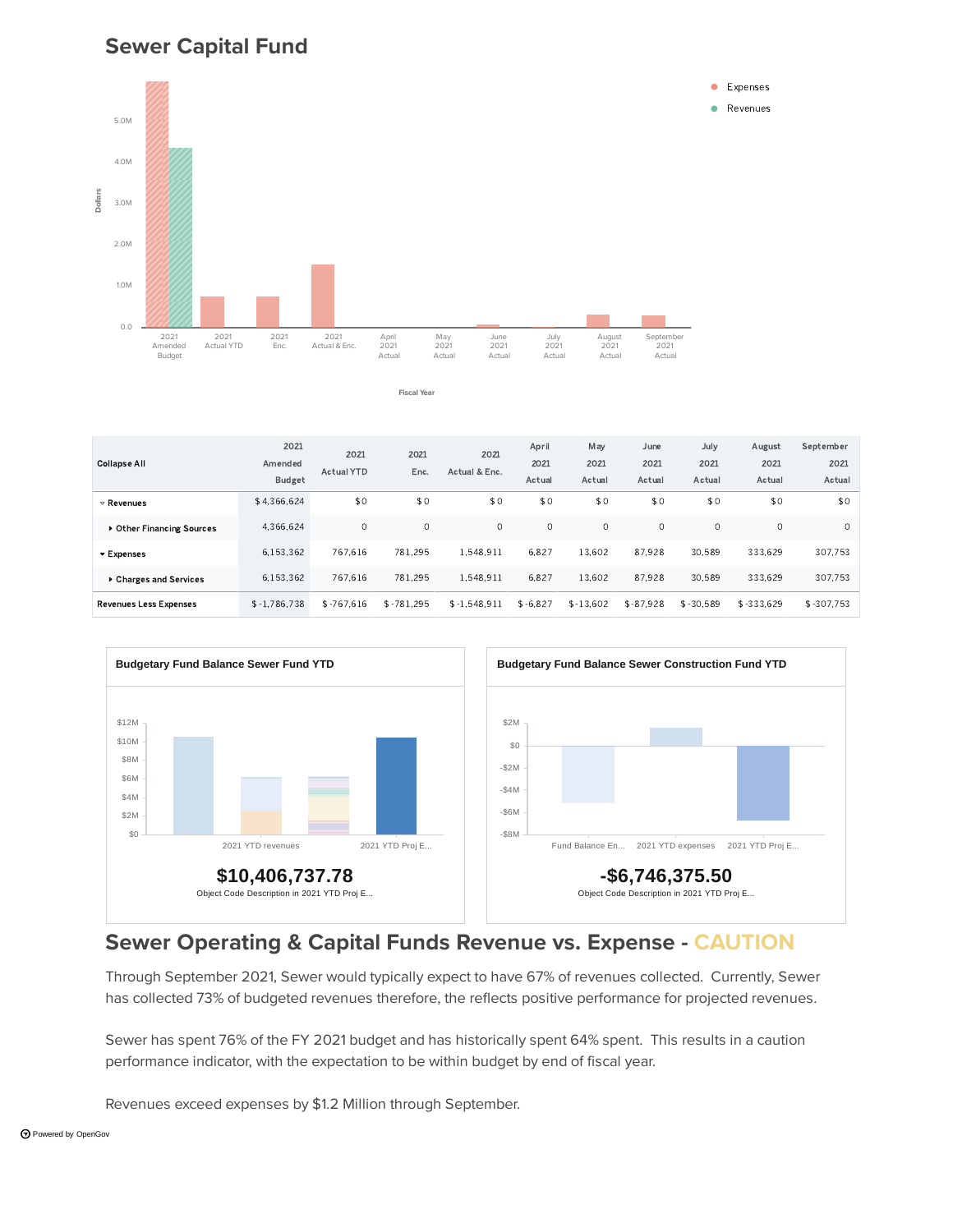#### **Sewer Capital Fund**



**Fiscal Year**

\$4.366.624 \$0 \$0 \$0 \$0 \$0 \$0 \$0 \$0 \$0 \$0 4.366.624 0 0 0 0 0 0 0 0 0 6.153.362 767.616 781.295 1.548.911 6.827 13.602 87.928 30.589 333.629 307.753 6.153.362 767.616 781.295 1.548.911 6.827 13.602 87.928 30.589 333.629 307.753  $-1.786.738$   $-5.767.616$   $-5.781.295$   $-5.1548.911$   $-5.6827$   $-5.13.602$   $-5.87.928$   $-5.30589$   $-5.333.629$   $-5.307.753$ Revenues Other Financing Sources Expenses Charges and Services Revenues Less Expenses 2021 Amended Budget 2021 Actual YTD 2021 Enc. 2021 Actual & Enc. April 2021 Actual May 2021 Actual June 2021 Actual July 2021 Actual August 2021 Actual September 2021 Actual Collapse All



#### **Sewer Operating & Capital Funds Revenue vs. Expense - CAUTION**

Through September 2021, Sewer would typically expect to have 67% of revenues collected. Currently, Sewer has collected 73% of budgeted revenues therefore, the reflects positive performance for projected revenues.

Sewer has spent 76% of the FY 2021 budget and has historically spent 64% spent. This results in a caution performance indicator, with the expectation to be within budget by end of fiscal year.

Revenues exceed expenses by \$1.2 Million through September.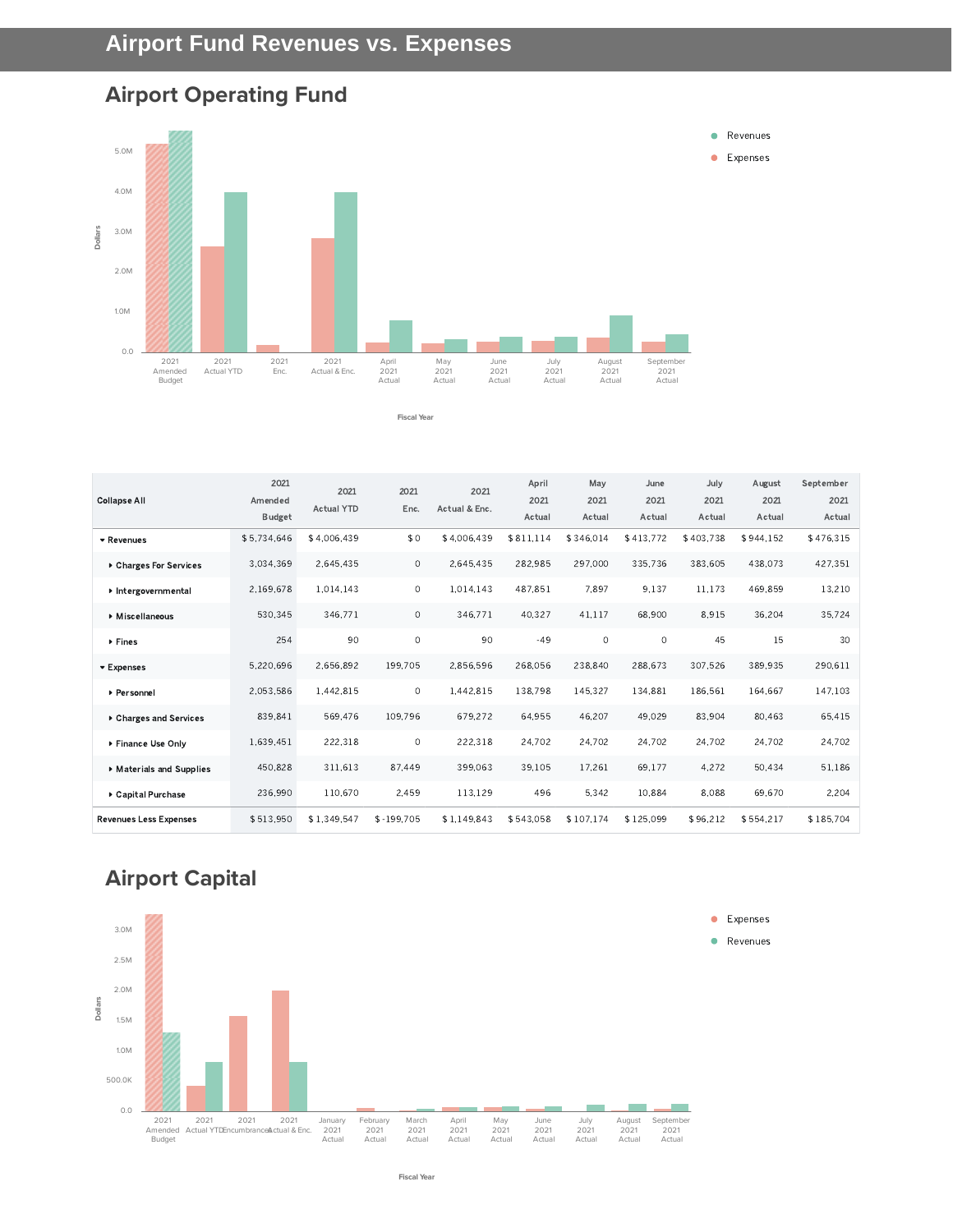## **Airport Operating Fund**



**Fiscal Year**

| <b>Collapse All</b>           | 2021<br>Amended<br><b>Budget</b> | 2021<br><b>Actual YTD</b> | 2021<br>Enc. | 2021<br>Actual & Enc. | April<br>2021<br>Actual | May<br>2021<br>Actual | June<br>2021<br>Actual | July<br>2021<br>Actual | August<br>2021<br>Actual | September<br>2021<br>Actual |
|-------------------------------|----------------------------------|---------------------------|--------------|-----------------------|-------------------------|-----------------------|------------------------|------------------------|--------------------------|-----------------------------|
| ▼ Revenues                    | \$5,734,646                      | \$4.006.439               | \$0          | \$4,006,439           | \$811.114               | \$346.014             | \$413,772              | \$403.738              | \$944,152                | \$476,315                   |
| ▶ Charges For Services        | 3.034.369                        | 2.645.435                 | $\circ$      | 2.645.435             | 282.985                 | 297.000               | 335.736                | 383.605                | 438.073                  | 427.351                     |
| Intergovernmental             | 2.169.678                        | 1,014,143                 | $\circ$      | 1.014.143             | 487.851                 | 7.897                 | 9.137                  | 11.173                 | 469,859                  | 13.210                      |
| ▶ Miscellaneous               | 530,345                          | 346,771                   | $\circ$      | 346.771               | 40.327                  | 41,117                | 68.900                 | 8,915                  | 36,204                   | 35.724                      |
| ▶ Fines                       | 254                              | 90                        | $\circ$      | 90                    | $-49$                   | $\circ$               | $\circ$                | 45                     | 15                       | 30                          |
| ▼ Expenses                    | 5.220.696                        | 2.656.892                 | 199.705      | 2.856,596             | 268.056                 | 238,840               | 288.673                | 307,526                | 389.935                  | 290.611                     |
| ▶ Personnel                   | 2,053,586                        | 1.442.815                 | $\circ$      | 1,442,815             | 138,798                 | 145,327               | 134.881                | 186.561                | 164.667                  | 147,103                     |
| ▶ Charges and Services        | 839,841                          | 569.476                   | 109,796      | 679,272               | 64,955                  | 46,207                | 49.029                 | 83,904                 | 80.463                   | 65.415                      |
| ▶ Finance Use Only            | 1.639.451                        | 222.318                   | $\circ$      | 222,318               | 24,702                  | 24,702                | 24,702                 | 24,702                 | 24,702                   | 24.702                      |
| Materials and Supplies        | 450,828                          | 311,613                   | 87,449       | 399,063               | 39,105                  | 17,261                | 69,177                 | 4,272                  | 50,434                   | 51,186                      |
| ▶ Capital Purchase            | 236,990                          | 110.670                   | 2,459        | 113,129               | 496                     | 5,342                 | 10.884                 | 8,088                  | 69.670                   | 2,204                       |
| <b>Revenues Less Expenses</b> | \$513.950                        | \$1,349.547               | $$-199.705$  | \$1.149.843           | \$543.058               | \$107.174             | \$125.099              | \$96,212               | \$554.217                | \$185.704                   |

# **Airport Capital**

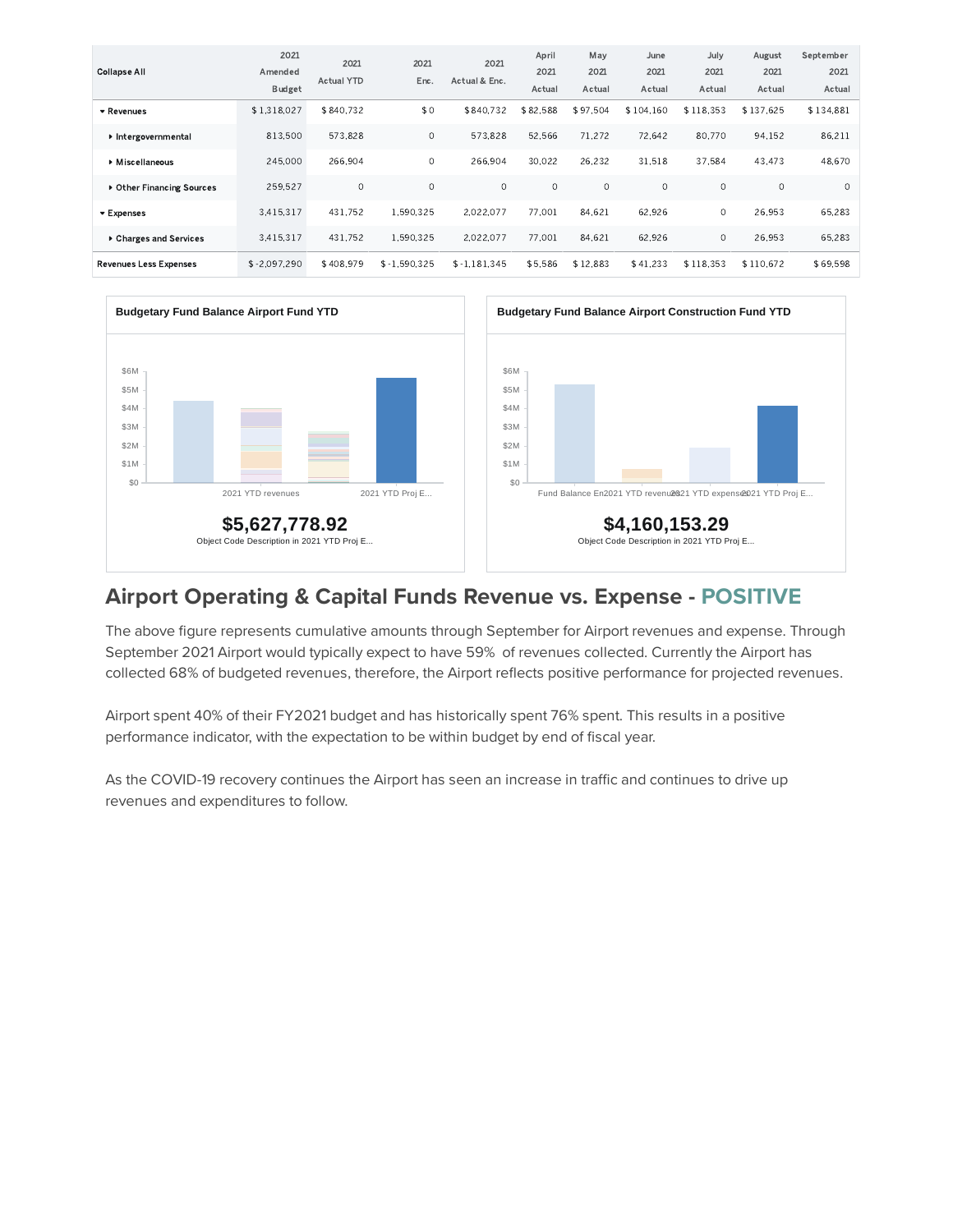| <b>Collapse All</b>           | 2021<br>Amended<br><b>Budget</b> | 2021<br><b>Actual YTD</b> | 2021<br>Enc.   | 2021<br>Actual & Enc. | April<br>2021<br>Actual | May<br>2021<br>Actual | June<br>2021<br>Actual | July<br>2021<br>Actual | August<br>2021<br>Actual | September<br>2021<br>Actual |
|-------------------------------|----------------------------------|---------------------------|----------------|-----------------------|-------------------------|-----------------------|------------------------|------------------------|--------------------------|-----------------------------|
| ▼ Revenues                    | \$1,318,027                      | \$840.732                 | \$0            | \$840.732             | \$82.588                | \$97.504              | \$104.160              | \$118.353              | \$137.625                | \$134.881                   |
| Intergovernmental             | 813.500                          | 573.828                   | $\circ$        | 573.828               | 52.566                  | 71.272                | 72.642                 | 80.770                 | 94.152                   | 86.211                      |
| ▶ Miscellaneous               | 245,000                          | 266.904                   | 0              | 266.904               | 30.022                  | 26.232                | 31.518                 | 37.584                 | 43.473                   | 48,670                      |
| ▶ Other Financing Sources     | 259.527                          | $\circ$                   | $\circ$        | $\Omega$              | $\circ$                 | $\circ$               | $\circ$                | $\circ$                | $\circ$                  | $\circ$                     |
| ▼ Expenses                    | 3.415.317                        | 431.752                   | 1.590.325      | 2.022.077             | 77.001                  | 84.621                | 62.926                 | $\circ$                | 26.953                   | 65.283                      |
| ▶ Charges and Services        | 3.415.317                        | 431.752                   | 1.590.325      | 2.022.077             | 77.001                  | 84.621                | 62,926                 | 0                      | 26,953                   | 65.283                      |
| <b>Revenues Less Expenses</b> | $$ -2.097.290$                   | \$408.979                 | $$ -1.590.325$ | $$ -1.181.345$        | \$5,586                 | \$12.883              | \$41.233               | \$118.353              | \$110.672                | \$69.598                    |





#### **Airport Operating & Capital Funds Revenue vs. Expense - POSITIVE**

The above figure represents cumulative amounts through September for Airport revenues and expense. Through September 2021 Airport would typically expect to have 59% of revenues collected. Currently the Airport has collected 68% of budgeted revenues, therefore, the Airport reflects positive performance for projected revenues.

Airport spent 40% of their FY2021 budget and has historically spent 76% spent. This results in a positive performance indicator, with the expectation to be within budget by end of fiscal year.

As the COVID-19 recovery continues the Airport has seen an increase in traffic and continues to drive up revenues and expenditures to follow.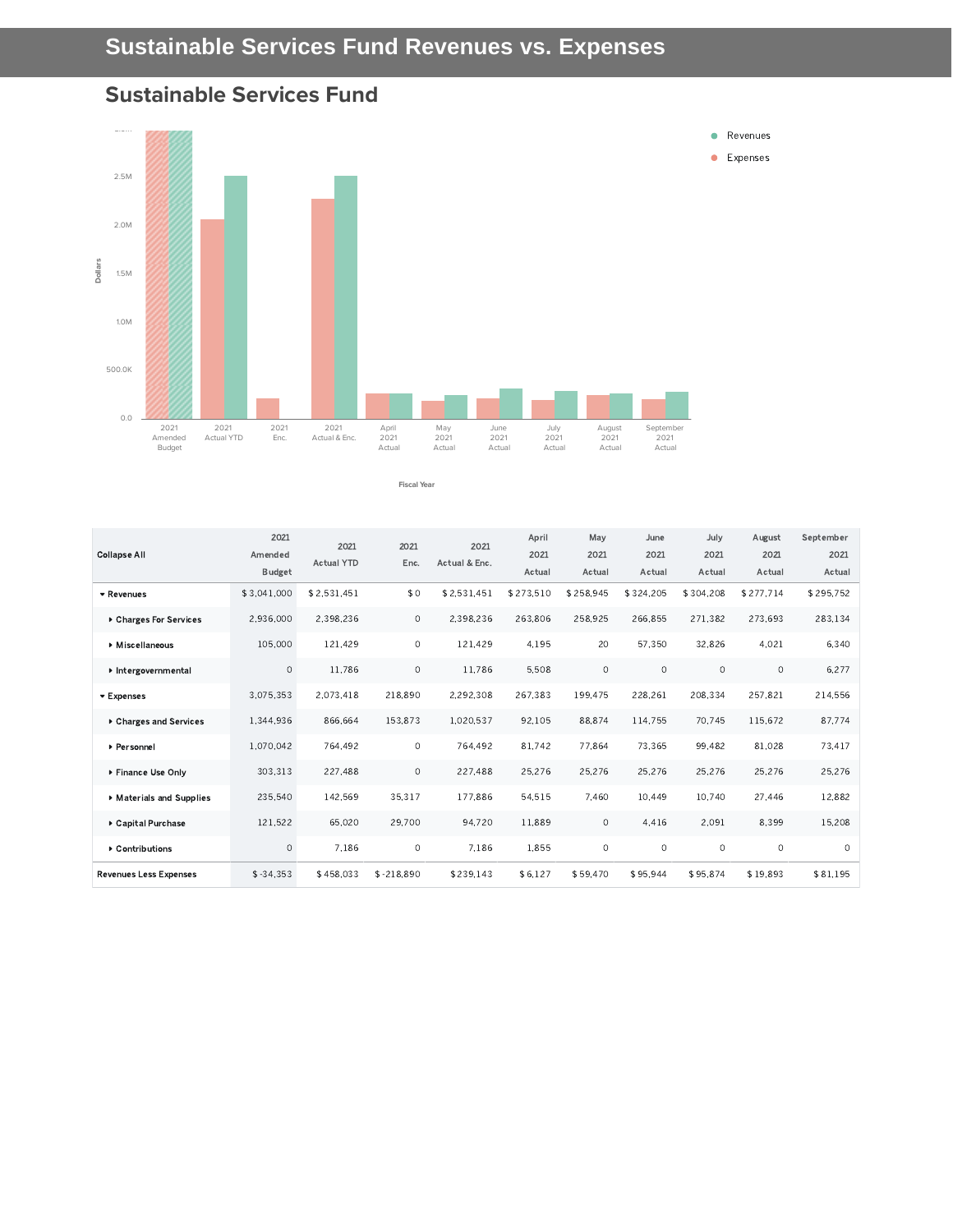



| <b>Collapse All</b>           | 2021<br>Amended<br>Budget | 2021<br><b>Actual YTD</b> | 2021<br>Enc. | 2021<br>Actual & Enc. | April<br>2021<br>Actual | May<br>2021<br>Actual | June<br>2021<br>Actual | July<br>2021<br>Actual | August<br>2021<br>Actual | September<br>2021<br>Actual |
|-------------------------------|---------------------------|---------------------------|--------------|-----------------------|-------------------------|-----------------------|------------------------|------------------------|--------------------------|-----------------------------|
| * Revenues                    | \$3.041.000               | \$2.531.451               | \$0          | \$2.531.451           | \$273.510               | \$258.945             | \$324.205              | \$304.208              | \$277.714                | \$295.752                   |
| ▶ Charges For Services        | 2.936.000                 | 2,398,236                 | $\circ$      | 2.398.236             | 263.806                 | 258.925               | 266.855                | 271.382                | 273.693                  | 283.134                     |
| ▶ Miscellaneous               | 105.000                   | 121.429                   | $\circ$      | 121.429               | 4.195                   | 20                    | 57.350                 | 32.826                 | 4.021                    | 6,340                       |
| Intergovernmental             | $\circ$                   | 11.786                    | $\circ$      | 11.786                | 5.508                   | $\circ$               | $\Omega$               | $\circ$                | $\circ$                  | 6.277                       |
| ▼ Expenses                    | 3.075.353                 | 2,073,418                 | 218,890      | 2.292,308             | 267,383                 | 199.475               | 228,261                | 208,334                | 257,821                  | 214,556                     |
| ▶ Charges and Services        | 1,344,936                 | 866.664                   | 153,873      | 1,020,537             | 92,105                  | 88.874                | 114,755                | 70.745                 | 115,672                  | 87,774                      |
| ▶ Personnel                   | 1.070.042                 | 764,492                   | $\circ$      | 764,492               | 81.742                  | 77.864                | 73.365                 | 99.482                 | 81.028                   | 73.417                      |
| ▶ Finance Use Only            | 303.313                   | 227,488                   | $\circ$      | 227,488               | 25.276                  | 25.276                | 25,276                 | 25,276                 | 25,276                   | 25.276                      |
| Materials and Supplies        | 235.540                   | 142.569                   | 35,317       | 177.886               | 54.515                  | 7.460                 | 10.449                 | 10.740                 | 27.446                   | 12.882                      |
| ▶ Capital Purchase            | 121,522                   | 65.020                    | 29.700       | 94,720                | 11.889                  | $\circ$               | 4.416                  | 2.091                  | 8.399                    | 15.208                      |
| ▶ Contributions               | $\circ$                   | 7.186                     | $\circ$      | 7.186                 | 1.855                   | $\circ$               | $\circ$                | $\circ$                | $\circ$                  | $\circ$                     |
| <b>Revenues Less Expenses</b> | $$ -34.353$               | \$458,033                 | $$ -218.890$ | \$239.143             | \$6,127                 | \$59.470              | \$95,944               | \$95.874               | \$19.893                 | \$81,195                    |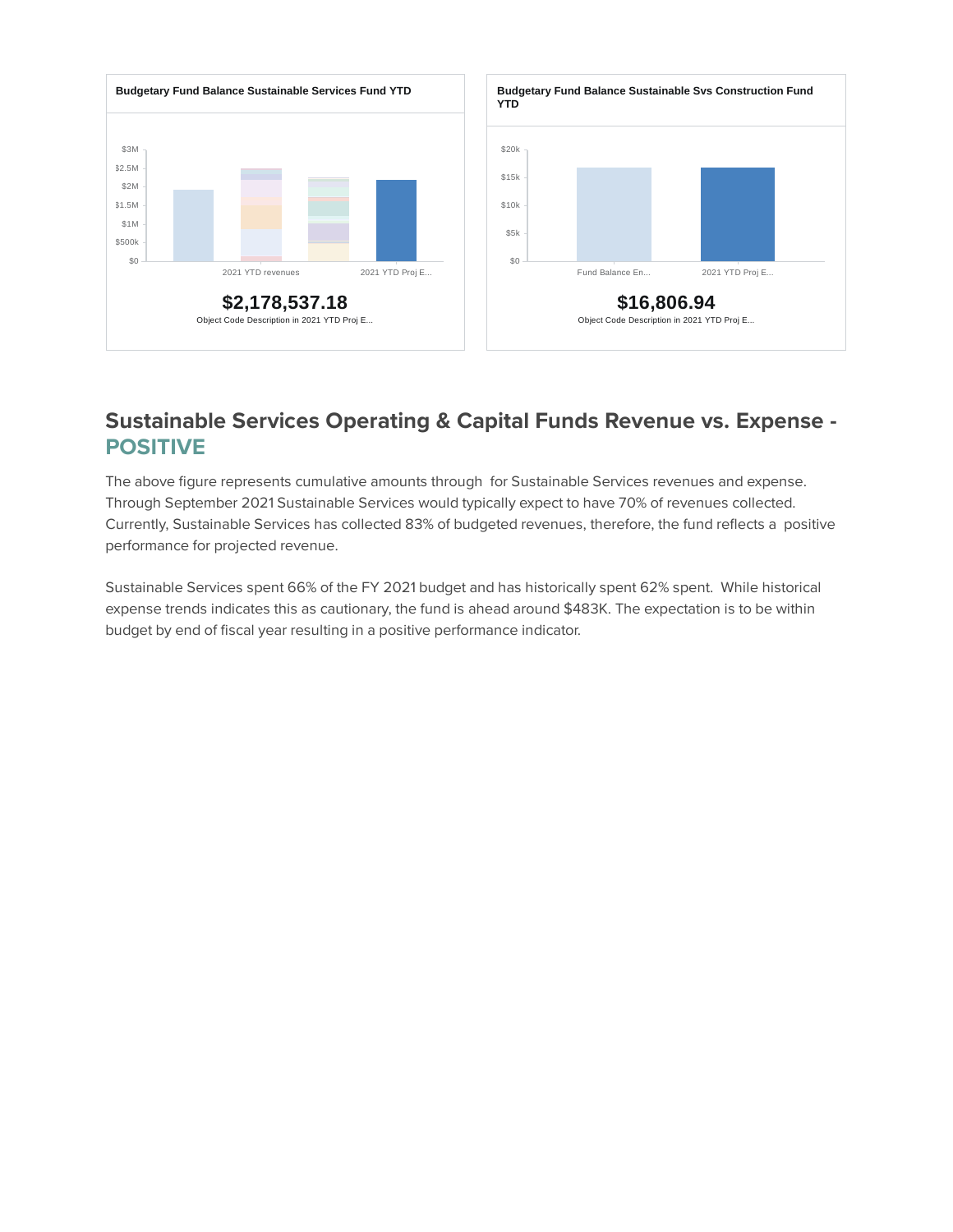

#### **Sustainable Services Operating & Capital Funds Revenue vs. Expense - POSITIVE**

The above figure represents cumulative amounts through for Sustainable Services revenues and expense. Through September 2021 Sustainable Services would typically expect to have 70% of revenues collected. Currently, Sustainable Services has collected 83% of budgeted revenues, therefore, the fund reflects a positive performance for projected revenue.

Sustainable Services spent 66% of the FY 2021 budget and has historically spent 62% spent. While historical expense trends indicates this as cautionary, the fund is ahead around \$483K. The expectation is to be within budget by end of fiscal year resulting in a positive performance indicator.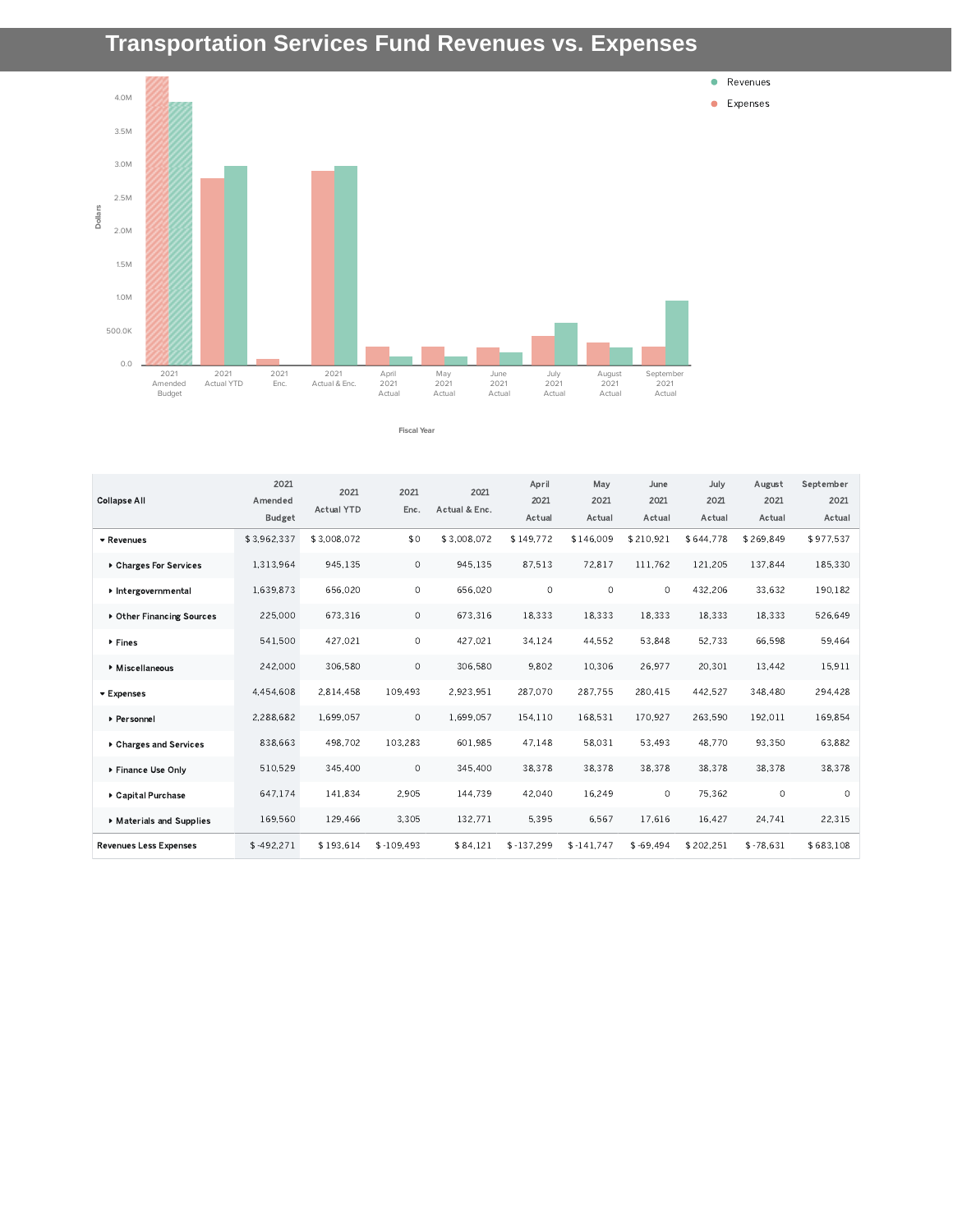# **Transportation Services Fund Revenues vs. Expenses**



**Fiscal Year**

| <b>Collapse All</b>           | 2021<br>Amended<br><b>Budget</b> | 2021<br><b>Actual YTD</b> | 2021<br>Enc. | 2021<br>Actual & Enc. | April<br>2021<br>Actual | May<br>2021<br>Actual | June<br>2021<br>Actual | July<br>2021<br>Actual | August<br>2021<br>Actual | September<br>2021<br>Actual |
|-------------------------------|----------------------------------|---------------------------|--------------|-----------------------|-------------------------|-----------------------|------------------------|------------------------|--------------------------|-----------------------------|
| ▼ Revenues                    | \$3.962.337                      | \$3.008.072               | \$0          | \$3.008.072           | \$149.772               | \$146,009             | \$210.921              | \$644.778              | \$269.849                | \$977.537                   |
| ▶ Charges For Services        | 1,313,964                        | 945,135                   | $\circ$      | 945,135               | 87,513                  | 72,817                | 111.762                | 121,205                | 137.844                  | 185.330                     |
| Intergovernmental             | 1.639.873                        | 656,020                   | $\circ$      | 656,020               | $\circ$                 | $\circ$               | $\circ$                | 432,206                | 33.632                   | 190.182                     |
| ▶ Other Financing Sources     | 225,000                          | 673,316                   | 0            | 673,316               | 18,333                  | 18,333                | 18,333                 | 18,333                 | 18,333                   | 526,649                     |
| ▶ Fines                       | 541,500                          | 427.021                   | $\circ$      | 427.021               | 34.124                  | 44,552                | 53,848                 | 52,733                 | 66,598                   | 59,464                      |
| Miscellaneous                 | 242,000                          | 306,580                   | $\circ$      | 306,580               | 9.802                   | 10,306                | 26.977                 | 20.301                 | 13,442                   | 15.911                      |
| ▼ Expenses                    | 4,454,608                        | 2,814,458                 | 109,493      | 2,923,951             | 287,070                 | 287,755               | 280,415                | 442,527                | 348,480                  | 294,428                     |
| ▶ Personnel                   | 2.288.682                        | 1.699.057                 | $\circ$      | 1,699,057             | 154,110                 | 168.531               | 170.927                | 263.590                | 192.011                  | 169.854                     |
| ▶ Charges and Services        | 838,663                          | 498.702                   | 103.283      | 601.985               | 47.148                  | 58.031                | 53.493                 | 48.770                 | 93.350                   | 63.882                      |
| ▶ Finance Use Only            | 510,529                          | 345,400                   | $\circ$      | 345,400               | 38,378                  | 38,378                | 38,378                 | 38,378                 | 38,378                   | 38,378                      |
| ▶ Capital Purchase            | 647.174                          | 141.834                   | 2.905        | 144,739               | 42.040                  | 16.249                | $\Omega$               | 75.362                 | $\circ$                  | $\Omega$                    |
| Materials and Supplies        | 169.560                          | 129,466                   | 3,305        | 132,771               | 5.395                   | 6,567                 | 17.616                 | 16.427                 | 24,741                   | 22.315                      |
| <b>Revenues Less Expenses</b> | $$-492,271$                      | \$193,614                 | $$-109,493$  | \$84,121              | $$ -137,299$            | $$-141,747$           | $$ -69.494$            | \$202,251              | $$ -78,631$              | \$683,108                   |